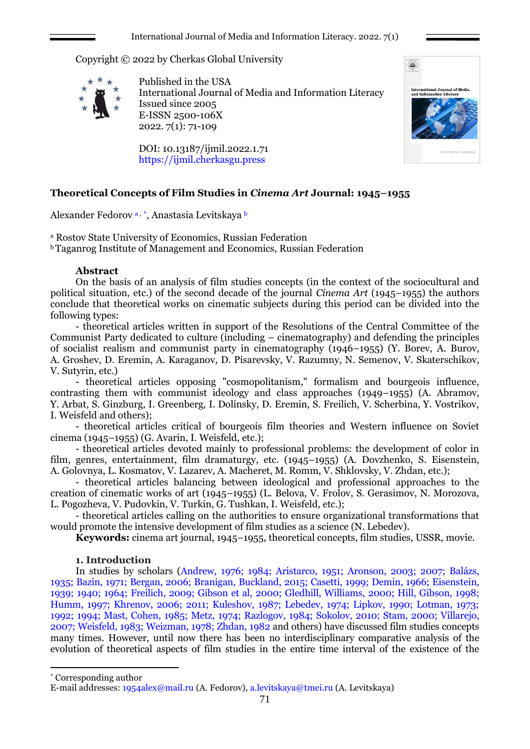Copyright © 2022 by Cherkas Global University



Published in the USA International Journal of Media and Information Literacy Issued since 2005 E-ISSN 2500-106X 2022. 7(1): 71-109

DOI: 10.13187/ijmil.2022.1.71 https://ijmil.cherkasgu.press

# **Theoretical Concepts of Film Studies in** *Cinema Art* **Journal: 1945–1955**

Alexander Fedorov a, \*, Anastasia Levitskaya <sup>b</sup>

<sup>а</sup> Rostov State University of Economics, Russian Federation

<sup>b</sup>Taganrog Institute of Management and Economics, Russian Federation

## **Abstract**

On the basis of an analysis of film studies concepts (in the context of the sociocultural and political situation, etc.) of the second decade of the journal *Cinema Art* (1945–1955) the authors conclude that theoretical works on cinematic subjects during this period can be divided into the following types:

- theoretical articles written in support of the Resolutions of the Central Committee of the Communist Party dedicated to culture (including – cinematography) and defending the principles of socialist realism and communist party in cinematography (1946–1955) (Y. Borev, A. Burov, A. Groshev, D. Eremin, A. Karaganov, D. Pisarevsky, V. Razumny, N. Semenov, V. Skaterschikov, V. Sutyrin, etc.)

- theoretical articles opposing "cosmopolitanism," formalism and bourgeois influence, contrasting them with communist ideology and class approaches (1949–1955) (A. Abramov, Y. Arbat, S. Ginzburg, I. Greenberg, I. Dolinsky, D. Eremin, S. Freilich, V. Scherbina, Y. Vostrikov, I. Weisfeld and others);

- theoretical articles critical of bourgeois film theories and Western influence on Soviet cinema (1945–1955) (G. Avarin, I. Weisfeld, etc.);

- theoretical articles devoted mainly to professional problems: the development of color in film, genres, entertainment, film dramaturgy, etc. (1945–1955) (A. Dovzhenko, S. Eisenstein, A. Golovnya, L. Kosmatov, V. Lazarev, A. Macheret, M. Romm, V. Shklovsky, V. Zhdan, etc.);

- theoretical articles balancing between ideological and professional approaches to the creation of cinematic works of art (1945–1955) (L. Belova, V. Frolov, S. Gerasimov, N. Morozova, L. Pogozheva, V. Pudovkin, V. Turkin, G. Tushkan, I. Weisfeld, etc.);

- theoretical articles calling on the authorities to ensure organizational transformations that would promote the intensive development of film studies as a science (N. Lebedev).

**Keywords:** cinema art journal, 1945–1955, theoretical concepts, film studies, USSR, movie.

# **1. Introduction**

In studies by scholars (Andrew, 1976; 1984; Aristarco, 1951; Aronson, 2003; 2007; Balázs, 1935; Bazin, 1971; Bergan, 2006; Branigan, Buckland, 2015; Casetti, 1999; Demin, 1966; Eisenstein, 1939; 1940; 1964; Freilich, 2009; Gibson et al, 2000; Gledhill, Williams, 2000; Hill, Gibson, 1998; Humm, 1997; Khrenov, 2006; 2011; Kuleshov, 1987; Lebedev, 1974; Lipkov, 1990; Lotman, 1973; 1992; 1994; Mast, Cohen, 1985; Metz, 1974; Razlogov, 1984; Sokolov, 2010; Stam, 2000; Villarejo, 2007; Weisfeld, 1983; Weizman, 1978; Zhdan, 1982 and others) have discussed film studies concepts many times. However, until now there has been no interdisciplinary comparative analysis of the evolution of theoretical aspects of film studies in the entire time interval of the existence of the

71

1

<sup>\*</sup> Corresponding author

E-mail addresses: [1954alex@mail.ru](mailto:1954alex@mail.ru) (A. Fedorov), [a.levitskaya@tmei.ru](mailto:a.levitskaya@tmei.ru) (A. Levitskaya)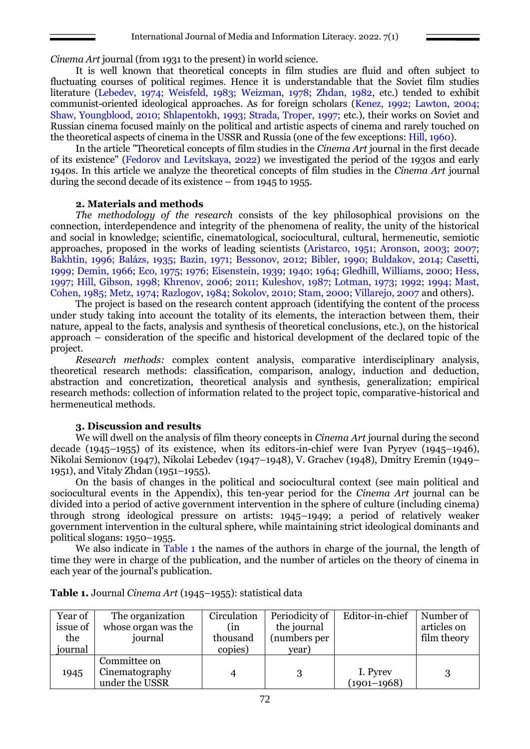*Cinema Art* journal (from 1931 to the present) in world science.

It is well known that theoretical concepts in film studies are fluid and often subject to fluctuating courses of political regimes. Hence it is understandable that the Soviet film studies literature (Lebedev, 1974; Weisfeld, 1983; Weizman, 1978; Zhdan, 1982, etc.) tended to exhibit communist-oriented ideological approaches. As for foreign scholars (Kenez, 1992; Lawton, 2004; Shaw, Youngblood, 2010; Shlapentokh, 1993; Strada, Troper, 1997; etc.), their works on Soviet and Russian cinema focused mainly on the political and artistic aspects of cinema and rarely touched on the theoretical aspects of cinema in the USSR and Russia (one of the few exceptions: Hill, 1960).

In the article "Theoretical concepts of film studies in the *Cinema Art* journal in the first decade of its existence" (Fedorov and Levitskaya, 2022) we investigated the period of the 1930s and early 1940s. In this article we analyze the theoretical concepts of film studies in the *Cinema Art* journal during the second decade of its existence – from 1945 to 1955.

## **2. Materials and methods**

*The methodology of the research* consists of the key philosophical provisions on the connection, interdependence and integrity of the phenomena of reality, the unity of the historical and social in knowledge; scientific, cinematological, sociocultural, cultural, hermeneutic, semiotic approaches, proposed in the works of leading scientists (Aristarco, 1951; Aronson, 2003; 2007; Bakhtin, 1996; Balázs, 1935; Bazin, 1971; Bessonov, 2012; Bibler, 1990; Buldakov, 2014; Casetti, 1999; Demin, 1966; Eco, 1975; 1976; Eisenstein, 1939; 1940; 1964; Gledhill, Williams, 2000; Hess, 1997; Hill, Gibson, 1998; Khrenov, 2006; 2011; Kuleshov, 1987; Lotman, 1973; 1992; 1994; Mast, Cohen, 1985; Metz, 1974; Razlogov, 1984; Sokolov, 2010; Stam, 2000; Villarejo, 2007 and others).

The project is based on the research content approach (identifying the content of the process under study taking into account the totality of its elements, the interaction between them, their nature, appeal to the facts, analysis and synthesis of theoretical conclusions, etc.), on the historical approach – consideration of the specific and historical development of the declared topic of the project.

*Research methods:* complex content analysis, comparative interdisciplinary analysis, theoretical research methods: classification, comparison, analogy, induction and deduction, abstraction and concretization, theoretical analysis and synthesis, generalization; empirical research methods: collection of information related to the project topic, comparative-historical and hermeneutical methods.

### **3. Discussion and results**

We will dwell on the analysis of film theory concepts in *Cinema Art* journal during the second decade (1945–1955) of its existence, when its editors-in-chief were Ivan Pyryev (1945–1946), Nikolai Semionov (1947), Nikolai Lebedev (1947–1948), V. Grachev (1948), Dmitry Eremin (1949– 1951), and Vitaly Zhdan (1951–1955).

On the basis of changes in the political and sociocultural context (see main political and sociocultural events in the Appendix), this ten-year period for the *Cinema Art* journal can be divided into a period of active government intervention in the sphere of culture (including cinema) through strong ideological pressure on artists: 1945–1949; a period of relatively weaker government intervention in the cultural sphere, while maintaining strict ideological dominants and political slogans: 1950–1955.

We also indicate in Table 1 the names of the authors in charge of the journal, the length of time they were in charge of the publication, and the number of articles on the theory of cinema in each year of the journal's publication.

| Year of  | The organization    | Circulation | Periodicity of | Editor-in-chief | Number of   |
|----------|---------------------|-------------|----------------|-----------------|-------------|
| issue of | whose organ was the | (in         | the journal    |                 | articles on |
| the      | journal             | thousand    | (numbers per   |                 | film theory |
| journal  |                     | copies)     | year)          |                 |             |
|          | Committee on        |             |                |                 |             |
| 1945     | Cinematography      | 4           |                | I. Pyrev        |             |
|          | under the USSR      |             |                | $(1901 - 1968)$ |             |

| <b>Table 1.</b> Journal Cinema Art (1945–1955): statistical data |  |  |
|------------------------------------------------------------------|--|--|
|------------------------------------------------------------------|--|--|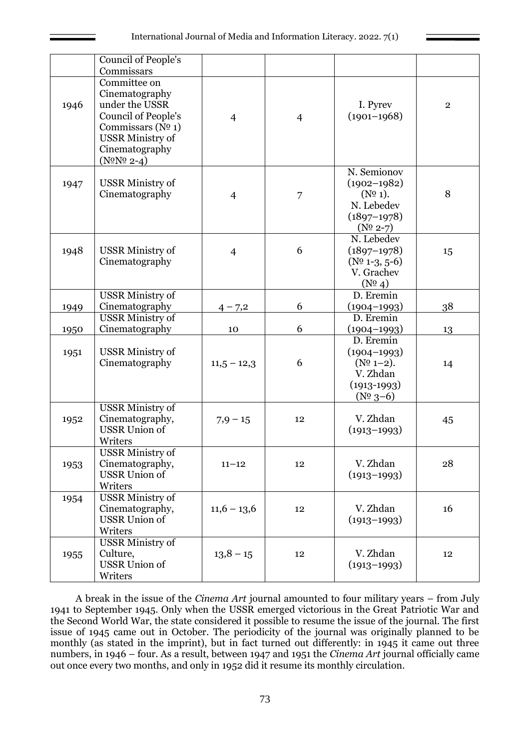|      | Council of People's<br>Commissars                                                                                                                                         |                |                |                                                                                            |                |
|------|---------------------------------------------------------------------------------------------------------------------------------------------------------------------------|----------------|----------------|--------------------------------------------------------------------------------------------|----------------|
| 1946 | Committee on<br>Cinematography<br>under the USSR<br>Council of People's<br>Commissars ( $N0$ 1)<br><b>USSR Ministry of</b><br>Cinematography<br>$(N^{\circ}N^{\circ}2-4)$ | $\overline{4}$ | $\overline{4}$ | I. Pyrev<br>$(1901 - 1968)$                                                                | $\overline{2}$ |
| 1947 | <b>USSR Ministry of</b><br>Cinematography                                                                                                                                 | $\overline{4}$ | $\overline{7}$ | N. Semionov<br>$(1902 - 1982)$<br>$(N0 1)$ .<br>N. Lebedev<br>$(1897-1978)$<br>$(N^0 2-7)$ | 8              |
| 1948 | <b>USSR Ministry of</b><br>Cinematography                                                                                                                                 | $\overline{4}$ | 6              | N. Lebedev<br>$(1897-1978)$<br>$(N0 1-3, 5-6)$<br>V. Grachev<br>$(N^0 4)$                  | 15             |
|      | <b>USSR Ministry of</b><br>Cinematography                                                                                                                                 |                | 6              | D. Eremin                                                                                  |                |
| 1949 | <b>USSR Ministry of</b>                                                                                                                                                   | $4 - 7,2$      |                | $(1904 - 1993)$<br>D. Eremin                                                               | 38             |
| 1950 | Cinematography                                                                                                                                                            | 10             | 6              | $(1904 - 1993)$                                                                            | 13             |
| 1951 | <b>USSR Ministry of</b><br>Cinematography                                                                                                                                 | $11,5 - 12,3$  | 6              | D. Eremin<br>$(1904 - 1993)$<br>$(N0 1-2).$<br>V. Zhdan<br>$(1913-1993)$<br>$(N0 3-6)$     | 14             |
| 1952 | <b>USSR Ministry of</b><br>Cinematography,<br><b>USSR</b> Union of<br>Writers                                                                                             | $7,9 - 15$     | 12             | V. Zhdan<br>$(1913 - 1993)$                                                                | 45             |
| 1953 | USSR Ministry of<br>Cinematography,<br><b>USSR</b> Union of<br>Writers                                                                                                    | $11 - 12$      | 12             | V. Zhdan<br>$(1913 - 1993)$                                                                | 28             |
| 1954 | <b>USSR Ministry of</b><br>Cinematography,<br><b>USSR</b> Union of<br>Writers                                                                                             | $11,6 - 13,6$  | 12             | V. Zhdan<br>$(1913 - 1993)$                                                                | 16             |
| 1955 | <b>USSR Ministry of</b><br>Culture,<br><b>USSR Union of</b><br>Writers                                                                                                    | $13,8 - 15$    | 12             | V. Zhdan<br>$(1913 - 1993)$                                                                | 12             |

A break in the issue of the *Cinema Art* journal amounted to four military years – from July 1941 to September 1945. Only when the USSR emerged victorious in the Great Patriotic War and the Second World War, the state considered it possible to resume the issue of the journal. The first issue of 1945 came out in October. The periodicity of the journal was originally planned to be monthly (as stated in the imprint), but in fact turned out differently: in 1945 it came out three numbers, in 1946 – four. As a result, between 1947 and 1951 the *Cinema Art* journal officially came out once every two months, and only in 1952 did it resume its monthly circulation.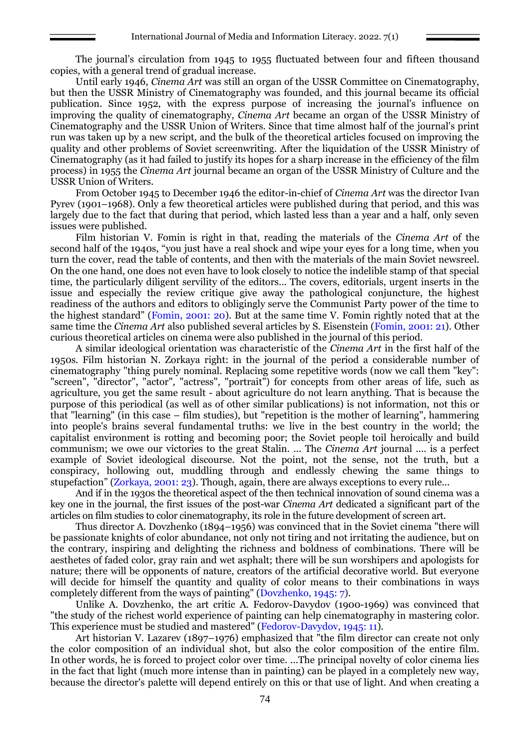The journal's circulation from 1945 to 1955 fluctuated between four and fifteen thousand copies, with a general trend of gradual increase.

Until early 1946, *Cinema Art* was still an organ of the USSR Committee on Cinematography, but then the USSR Ministry of Cinematography was founded, and this journal became its official publication. Since 1952, with the express purpose of increasing the journal's influence on improving the quality of cinematography, *Cinema Art* became an organ of the USSR Ministry of Cinematography and the USSR Union of Writers. Since that time almost half of the journal's print run was taken up by a new script, and the bulk of the theoretical articles focused on improving the quality and other problems of Soviet screenwriting. After the liquidation of the USSR Ministry of Cinematography (as it had failed to justify its hopes for a sharp increase in the efficiency of the film process) in 1955 the *Cinema Art* journal became an organ of the USSR Ministry of Culture and the USSR Union of Writers.

From October 1945 to December 1946 the editor-in-chief of *Cinema Art* was the director Ivan Pyrev (1901–1968). Only a few theoretical articles were published during that period, and this was largely due to the fact that during that period, which lasted less than a year and a half, only seven issues were published.

Film historian V. Fomin is right in that, reading the materials of the *Cinema Art* of the second half of the 1940s, "you just have a real shock and wipe your eyes for a long time, when you turn the cover, read the table of contents, and then with the materials of the main Soviet newsreel. On the one hand, one does not even have to look closely to notice the indelible stamp of that special time, the particularly diligent servility of the editors... The covers, editorials, urgent inserts in the issue and especially the review critique give away the pathological conjuncture, the highest readiness of the authors and editors to obligingly serve the Communist Party power of the time to the highest standard" (Fomin, 2001: 20). But at the same time V. Fomin rightly noted that at the same time the *Cinema Art* also published several articles by S. Eisenstein (Fomin, 2001: 21). Other curious theoretical articles on cinema were also published in the journal of this period.

A similar ideological orientation was characteristic of the *Cinema Art* in the first half of the 1950s. Film historian N. Zorkaya right: in the journal of the period a considerable number of cinematography "thing purely nominal. Replacing some repetitive words (now we call them "key": "screen", "director", "actor", "actress", "portrait") for concepts from other areas of life, such as agriculture, you get the same result - about agriculture do not learn anything. That is because the purpose of this periodical (as well as of other similar publications) is not information, not this or that "learning" (in this case – film studies), but "repetition is the mother of learning", hammering into people's brains several fundamental truths: we live in the best country in the world; the capitalist environment is rotting and becoming poor; the Soviet people toil heroically and build communism; we owe our victories to the great Stalin. ... The *Cinema Art* journal .... is a perfect example of Soviet ideological discourse. Not the point, not the sense, not the truth, but a conspiracy, hollowing out, muddling through and endlessly chewing the same things to stupefaction" (Zorkaya, 2001: 23). Though, again, there are always exceptions to every rule...

And if in the 1930s the theoretical aspect of the then technical innovation of sound cinema was a key one in the journal, the first issues of the post-war *Cinema Art* dedicated a significant part of the articles on film studies to color cinematography, its role in the future development of screen art.

Thus director A. Dovzhenko (1894–1956) was convinced that in the Soviet cinema "there will be passionate knights of color abundance, not only not tiring and not irritating the audience, but on the contrary, inspiring and delighting the richness and boldness of combinations. There will be aesthetes of faded color, gray rain and wet asphalt; there will be sun worshipers and apologists for nature; there will be opponents of nature, creators of the artificial decorative world. But everyone will decide for himself the quantity and quality of color means to their combinations in ways completely different from the ways of painting" (Dovzhenko, 1945: 7).

Unlike A. Dovzhenko, the art critic A. Fedorov-Davydov (1900-1969) was convinced that "the study of the richest world experience of painting can help cinematography in mastering color. This experience must be studied and mastered" (Fedorov-Davydov, 1945: 11).

Art historian V. Lazarev (1897–1976) emphasized that "the film director can create not only the color composition of an individual shot, but also the color composition of the entire film. In other words, he is forced to project color over time. ...The principal novelty of color cinema lies in the fact that light (much more intense than in painting) can be played in a completely new way, because the director's palette will depend entirely on this or that use of light. And when creating a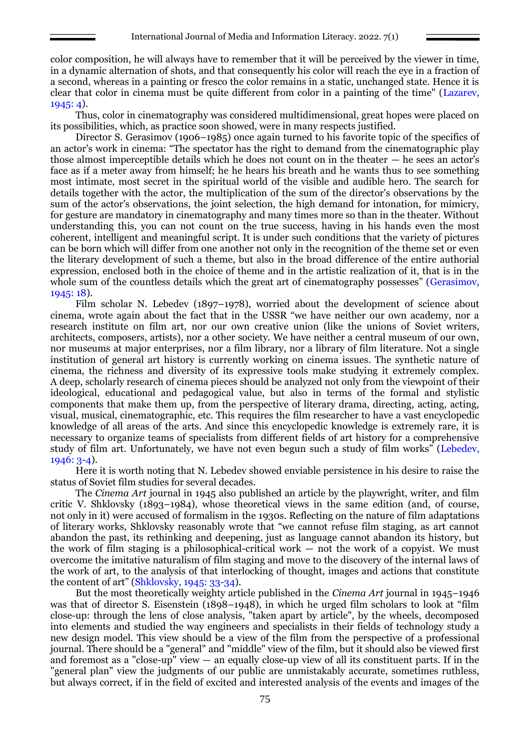color composition, he will always have to remember that it will be perceived by the viewer in time, in a dynamic alternation of shots, and that consequently his color will reach the eye in a fraction of a second, whereas in a painting or fresco the color remains in a static, unchanged state. Hence it is clear that color in cinema must be quite different from color in a painting of the time" (Lazarev, 1945: 4).

Thus, color in cinematography was considered multidimensional, great hopes were placed on its possibilities, which, as practice soon showed, were in many respects justified.

Director S. Gerasimov (1906–1985) once again turned to his favorite topic of the specifics of an actor's work in cinema: "The spectator has the right to demand from the cinematographic play those almost imperceptible details which he does not count on in the theater — he sees an actor's face as if a meter away from himself; he he hears his breath and he wants thus to see something most intimate, most secret in the spiritual world of the visible and audible hero. The search for details together with the actor, the multiplication of the sum of the director's observations by the sum of the actor's observations, the joint selection, the high demand for intonation, for mimicry, for gesture are mandatory in cinematography and many times more so than in the theater. Without understanding this, you can not count on the true success, having in his hands even the most coherent, intelligent and meaningful script. It is under such conditions that the variety of pictures can be born which will differ from one another not only in the recognition of the theme set or even the literary development of such a theme, but also in the broad difference of the entire authorial expression, enclosed both in the choice of theme and in the artistic realization of it, that is in the whole sum of the countless details which the great art of cinematography possesses" (Gerasimov, 1945: 18).

Film scholar N. Lebedev (1897–1978), worried about the development of science about cinema, wrote again about the fact that in the USSR "we have neither our own academy, nor a research institute on film art, nor our own creative union (like the unions of Soviet writers, architects, composers, artists), nor a other society. We have neither a central museum of our own, nor museums at major enterprises, nor a film library, nor a library of film literature. Not a single institution of general art history is currently working on cinema issues. The synthetic nature of cinema, the richness and diversity of its expressive tools make studying it extremely complex. A deep, scholarly research of cinema pieces should be analyzed not only from the viewpoint of their ideological, educational and pedagogical value, but also in terms of the formal and stylistic components that make them up, from the perspective of literary drama, directing, acting, acting, visual, musical, cinematographic, etc. This requires the film researcher to have a vast encyclopedic knowledge of all areas of the arts. And since this encyclopedic knowledge is extremely rare, it is necessary to organize teams of specialists from different fields of art history for a comprehensive study of film art. Unfortunately, we have not even begun such a study of film works" (Lebedev, 1946: 3-4).

Here it is worth noting that N. Lebedev showed enviable persistence in his desire to raise the status of Soviet film studies for several decades.

The *Cinema Art* journal in 1945 also published an article by the playwright, writer, and film critic V. Shklovsky (1893–1984), whose theoretical views in the same edition (and, of course, not only in it) were accused of formalism in the 1930s. Reflecting on the nature of film adaptations of literary works, Shklovsky reasonably wrote that "we cannot refuse film staging, as art cannot abandon the past, its rethinking and deepening, just as language cannot abandon its history, but the work of film staging is a philosophical-critical work — not the work of a copyist. We must overcome the imitative naturalism of film staging and move to the discovery of the internal laws of the work of art, to the analysis of that interlocking of thought, images and actions that constitute the content of art" (Shklovsky, 1945: 33-34).

But the most theoretically weighty article published in the *Cinema Art* journal in 1945–1946 was that of director S. Eisenstein (1898–1948), in which he urged film scholars to look at "film close-up: through the lens of close analysis, "taken apart by article", by the wheels, decomposed into elements and studied the way engineers and specialists in their fields of technology study a new design model. This view should be a view of the film from the perspective of a professional journal. There should be a "general" and "middle" view of the film, but it should also be viewed first and foremost as a "close-up" view  $-$  an equally close-up view of all its constituent parts. If in the "general plan" view the judgments of our public are unmistakably accurate, sometimes ruthless, but always correct, if in the field of excited and interested analysis of the events and images of the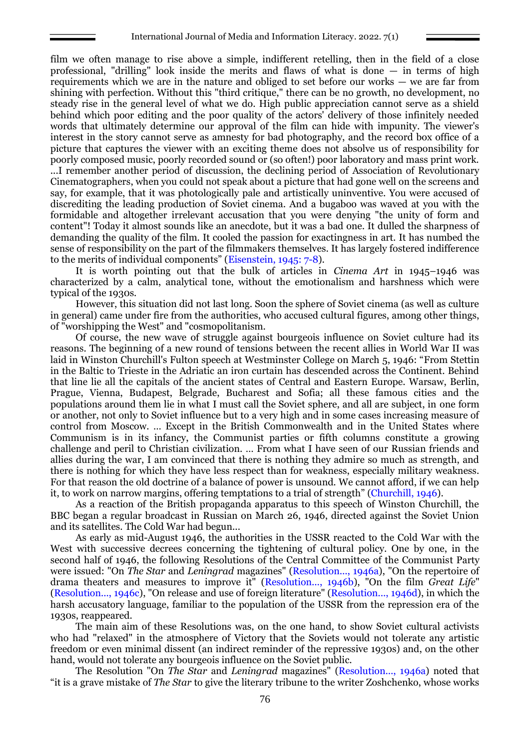film we often manage to rise above a simple, indifferent retelling, then in the field of a close professional, "drilling" look inside the merits and flaws of what is done — in terms of high requirements which we are in the nature and obliged to set before our works — we are far from shining with perfection. Without this "third critique," there can be no growth, no development, no steady rise in the general level of what we do. High public appreciation cannot serve as a shield behind which poor editing and the poor quality of the actors' delivery of those infinitely needed words that ultimately determine our approval of the film can hide with impunity. The viewer's interest in the story cannot serve as amnesty for bad photography, and the record box office of a picture that captures the viewer with an exciting theme does not absolve us of responsibility for poorly composed music, poorly recorded sound or (so often!) poor laboratory and mass print work. ...I remember another period of discussion, the declining period of Association of Revolutionary Cinematographers, when you could not speak about a picture that had gone well on the screens and say, for example, that it was photologically pale and artistically uninventive. You were accused of discrediting the leading production of Soviet cinema. And a bugaboo was waved at you with the formidable and altogether irrelevant accusation that you were denying "the unity of form and content"! Today it almost sounds like an anecdote, but it was a bad one. It dulled the sharpness of demanding the quality of the film. It cooled the passion for exactingness in art. It has numbed the sense of responsibility on the part of the filmmakers themselves. It has largely fostered indifference to the merits of individual components" (Eisenstein, 1945: 7-8).

It is worth pointing out that the bulk of articles in *Cinema Art* in 1945–1946 was characterized by a calm, analytical tone, without the emotionalism and harshness which were typical of the 1930s.

However, this situation did not last long. Soon the sphere of Soviet cinema (as well as culture in general) came under fire from the authorities, who accused cultural figures, among other things, of "worshipping the West" and "cosmopolitanism.

Of course, the new wave of struggle against bourgeois influence on Soviet culture had its reasons. The beginning of a new round of tensions between the recent allies in World War II was laid in Winston Churchill's Fulton speech at Westminster College on March 5, 1946: "From Stettin in the Baltic to Trieste in the Adriatic an iron curtain has descended across the Continent. Behind that line lie all the capitals of the ancient states of Central and Eastern Europe. Warsaw, Berlin, Prague, Vienna, Budapest, Belgrade, Bucharest and Sofia; all these famous cities and the populations around them lie in what I must call the Soviet sphere, and all are subject, in one form or another, not only to Soviet influence but to a very high and in some cases increasing measure of control from Moscow. … Except in the British Commonwealth and in the United States where Communism is in its infancy, the Communist parties or fifth columns constitute a growing challenge and peril to Christian civilization. … From what I have seen of our Russian friends and allies during the war, I am convinced that there is nothing they admire so much as strength, and there is nothing for which they have less respect than for weakness, especially military weakness. For that reason the old doctrine of a balance of power is unsound. We cannot afford, if we can help it, to work on narrow margins, offering temptations to a trial of strength" (Churchill, 1946).

As a reaction of the British propaganda apparatus to this speech of Winston Churchill, the BBC began a regular broadcast in Russian on March 26, 1946, directed against the Soviet Union and its satellites. The Cold War had begun...

As early as mid-August 1946, the authorities in the USSR reacted to the Cold War with the West with successive decrees concerning the tightening of cultural policy. One by one, in the second half of 1946, the following Resolutions of the Central Committee of the Communist Party were issued: "On *The Star* and *Leningrad* magazines" (Resolution..., 1946a), "On the repertoire of drama theaters and measures to improve it" (Resolution..., 1946b), "On the film *Great Life*" (Resolution..., 1946c), "On release and use of foreign literature" (Resolution..., 1946d), in which the harsh accusatory language, familiar to the population of the USSR from the repression era of the 1930s, reappeared.

The main aim of these Resolutions was, on the one hand, to show Soviet cultural activists who had "relaxed" in the atmosphere of Victory that the Soviets would not tolerate any artistic freedom or even minimal dissent (an indirect reminder of the repressive 1930s) and, on the other hand, would not tolerate any bourgeois influence on the Soviet public.

The Resolution "On *The Star* and *Leningrad* magazines" (Resolution..., 1946a) noted that "it is a grave mistake of *The Star* to give the literary tribune to the writer Zoshchenko, whose works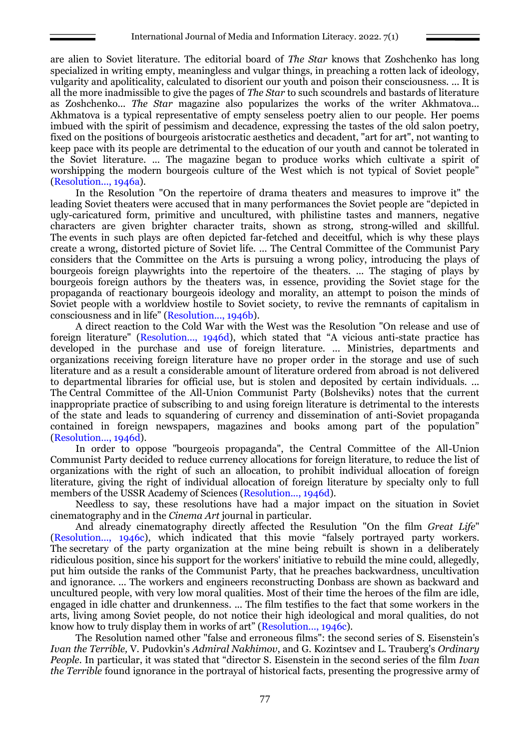are alien to Soviet literature. The editorial board of *The Star* knows that Zoshchenko has long specialized in writing empty, meaningless and vulgar things, in preaching a rotten lack of ideology, vulgarity and apoliticality, calculated to disorient our youth and poison their consciousness. ... It is all the more inadmissible to give the pages of *The Star* to such scoundrels and bastards of literature as Zoshchenko... *The Star* magazine also popularizes the works of the writer Akhmatova... Akhmatova is a typical representative of empty senseless poetry alien to our people. Her poems imbued with the spirit of pessimism and decadence, expressing the tastes of the old salon poetry, fixed on the positions of bourgeois aristocratic aesthetics and decadent, "art for art", not wanting to keep pace with its people are detrimental to the education of our youth and cannot be tolerated in the Soviet literature. ... The magazine began to produce works which cultivate a spirit of worshipping the modern bourgeois culture of the West which is not typical of Soviet people" (Resolution..., 1946a).

In the Resolution "On the repertoire of drama theaters and measures to improve it" the leading Soviet theaters were accused that in many performances the Soviet people are "depicted in ugly-caricatured form, primitive and uncultured, with philistine tastes and manners, negative characters are given brighter character traits, shown as strong, strong-willed and skillful. The events in such plays are often depicted far-fetched and deceitful, which is why these plays create a wrong, distorted picture of Soviet life. ... The Central Committee of the Communist Pary considers that the Committee on the Arts is pursuing a wrong policy, introducing the plays of bourgeois foreign playwrights into the repertoire of the theaters. ... The staging of plays by bourgeois foreign authors by the theaters was, in essence, providing the Soviet stage for the propaganda of reactionary bourgeois ideology and morality, an attempt to poison the minds of Soviet people with a worldview hostile to Soviet society, to revive the remnants of capitalism in consciousness and in life" (Resolution..., 1946b).

A direct reaction to the Cold War with the West was the Resolution "On release and use of foreign literature" (Resolution..., 1946d), which stated that "A vicious anti-state practice has developed in the purchase and use of foreign literature. ... Ministries, departments and organizations receiving foreign literature have no proper order in the storage and use of such literature and as a result a considerable amount of literature ordered from abroad is not delivered to departmental libraries for official use, but is stolen and deposited by certain individuals. ... The Central Committee of the All-Union Communist Party (Bolsheviks) notes that the current inappropriate practice of subscribing to and using foreign literature is detrimental to the interests of the state and leads to squandering of currency and dissemination of anti-Soviet propaganda contained in foreign newspapers, magazines and books among part of the population" (Resolution..., 1946d).

In order to oppose "bourgeois propaganda", the Central Committee of the All-Union Communist Party decided to reduce currency allocations for foreign literature, to reduce the list of organizations with the right of such an allocation, to prohibit individual allocation of foreign literature, giving the right of individual allocation of foreign literature by specialty only to full members of the USSR Academy of Sciences (Resolution..., 1946d).

Needless to say, these resolutions have had a major impact on the situation in Soviet cinematography and in the *Cinema Art* journal in particular.

And already cinematography directly affected the Resulution "On the film *Great Life*" (Resolution..., 1946c), which indicated that this movie "falsely portrayed party workers. The secretary of the party organization at the mine being rebuilt is shown in a deliberately ridiculous position, since his support for the workers' initiative to rebuild the mine could, allegedly, put him outside the ranks of the Communist Party, that he preaches backwardness, uncultivation and ignorance. ... The workers and engineers reconstructing Donbass are shown as backward and uncultured people, with very low moral qualities. Most of their time the heroes of the film are idle, engaged in idle chatter and drunkenness. ... The film testifies to the fact that some workers in the arts, living among Soviet people, do not notice their high ideological and moral qualities, do not know how to truly display them in works of art" (Resolution..., 1946c).

The Resolution named other "false and erroneous films": the second series of S. Eisenstein's *Ivan the Terrible,* V. Pudovkin's *Admiral Nakhimov*, and G. Kozintsev and L. Trauberg's *Ordinary People*. In particular, it was stated that "director S. Eisenstein in the second series of the film *Ivan the Terrible* found ignorance in the portrayal of historical facts, presenting the progressive army of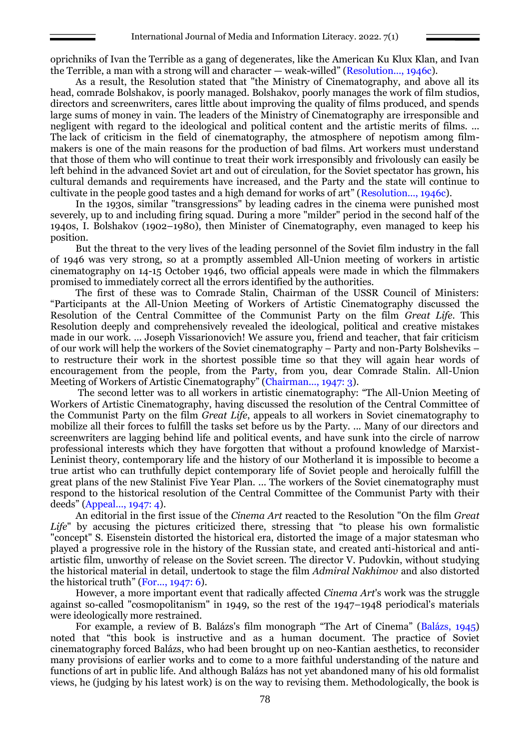oprichniks of Ivan the Terrible as a gang of degenerates, like the American Ku Klux Klan, and Ivan the Terrible, a man with a strong will and character — weak-willed" (Resolution..., 1946c).

As a result, the Resolution stated that "the Ministry of Cinematography, and above all its head, comrade Bolshakov, is poorly managed. Bolshakov, poorly manages the work of film studios, directors and screenwriters, cares little about improving the quality of films produced, and spends large sums of money in vain. The leaders of the Ministry of Cinematography are irresponsible and negligent with regard to the ideological and political content and the artistic merits of films. ... The lack of criticism in the field of cinematography, the atmosphere of nepotism among filmmakers is one of the main reasons for the production of bad films. Art workers must understand that those of them who will continue to treat their work irresponsibly and frivolously can easily be left behind in the advanced Soviet art and out of circulation, for the Soviet spectator has grown, his cultural demands and requirements have increased, and the Party and the state will continue to cultivate in the people good tastes and a high demand for works of art" (Resolution..., 1946c).

In the 1930s, similar "transgressions" by leading cadres in the cinema were punished most severely, up to and including firing squad. During a more "milder" period in the second half of the 1940s, I. Bolshakov (1902–1980), then Minister of Cinematography, even managed to keep his position.

But the threat to the very lives of the leading personnel of the Soviet film industry in the fall of 1946 was very strong, so at a promptly assembled All-Union meeting of workers in artistic cinematography on 14-15 October 1946, two official appeals were made in which the filmmakers promised to immediately correct all the errors identified by the authorities.

The first of these was to Comrade Stalin, Chairman of the USSR Council of Ministers: "Participants at the All-Union Meeting of Workers of Artistic Cinematography discussed the Resolution of the Central Committee of the Communist Party on the film *Great Life*. This Resolution deeply and comprehensively revealed the ideological, political and creative mistakes made in our work. ... Joseph Vissarionovich! We assure you, friend and teacher, that fair criticism of our work will help the workers of the Soviet cinematography – Party and non-Party Bolsheviks – to restructure their work in the shortest possible time so that they will again hear words of encouragement from the people, from the Party, from you, dear Comrade Stalin. All-Union Meeting of Workers of Artistic Cinematography" (Chairman..., 1947: 3).

The second letter was to all workers in artistic cinematography: "The All-Union Meeting of Workers of Artistic Cinematography, having discussed the resolution of the Central Committee of the Communist Party on the film *Great Life*, appeals to all workers in Soviet cinematography to mobilize all their forces to fulfill the tasks set before us by the Party. ... Many of our directors and screenwriters are lagging behind life and political events, and have sunk into the circle of narrow professional interests which they have forgotten that without a profound knowledge of Marxist-Leninist theory, contemporary life and the history of our Motherland it is impossible to become a true artist who can truthfully depict contemporary life of Soviet people and heroically fulfill the great plans of the new Stalinist Five Year Plan. ... The workers of the Soviet cinematography must respond to the historical resolution of the Central Committee of the Communist Party with their deeds" (Appeal..., 1947: 4).

An editorial in the first issue of the *Cinema Art* reacted to the Resolution "On the film *Great Life*" by accusing the pictures criticized there, stressing that "to please his own formalistic "concept" S. Eisenstein distorted the historical era, distorted the image of a major statesman who played a progressive role in the history of the Russian state, and created anti-historical and antiartistic film, unworthy of release on the Soviet screen. The director V. Pudovkin, without studying the historical material in detail, undertook to stage the film *Admiral Nakhimov* and also distorted the historical truth" (For..., 1947: 6).

However, a more important event that radically affected *Cinema Art*'s work was the struggle against so-called "cosmopolitanism" in 1949, so the rest of the 1947–1948 periodical's materials were ideologically more restrained.

For example, a review of B. Balázs's film monograph "The Art of Cinema" (Balázs, 1945) noted that "this book is instructive and as a human document. The practice of Soviet cinematography forced Balázs, who had been brought up on neo-Kantian aesthetics, to reconsider many provisions of earlier works and to come to a more faithful understanding of the nature and functions of art in public life. And although Balázs has not yet abandoned many of his old formalist views, he (judging by his latest work) is on the way to revising them. Methodologically, the book is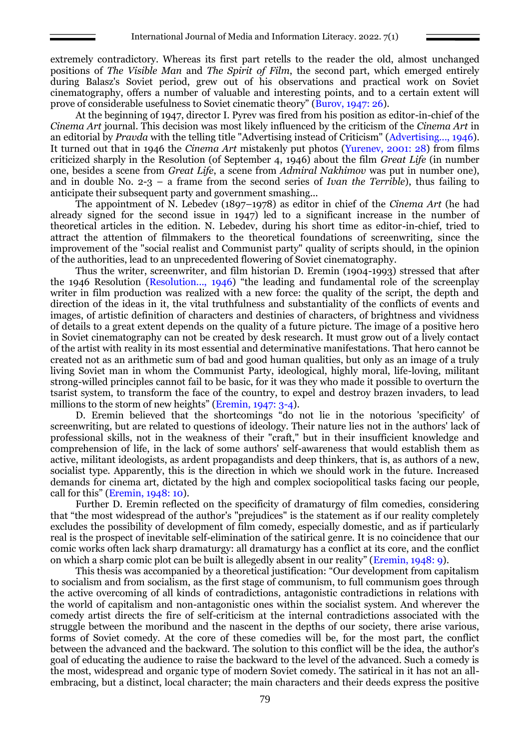extremely contradictory. Whereas its first part retells to the reader the old, almost unchanged positions of *The Visible Man* and *The Spirit of Film*, the second part, which emerged entirely during Balasz's Soviet period, grew out of his observations and practical work on Soviet cinematography, offers a number of valuable and interesting points, and to a certain extent will prove of considerable usefulness to Soviet cinematic theory" (Burov, 1947: 26).

At the beginning of 1947, director I. Pyrev was fired from his position as editor-in-chief of the *Cinema Art* journal. This decision was most likely influenced by the criticism of the *Cinema Art* in an editorial by *Pravda* with the telling title "Advertising instead of Criticism" (Advertising..., 1946). It turned out that in 1946 the *Cinema Art* mistakenly put photos (Yurenev, 2001: 28) from films criticized sharply in the Resolution (of September 4, 1946) about the film *Great Life* (in number one, besides a scene from *Great Life*, a scene from *Admiral Nakhimov* was put in number one), and in double No. 2-3 – a frame from the second series of *Ivan the Terrible*), thus failing to anticipate their subsequent party and government smashing...

The appointment of N. Lebedev (1897–1978) as editor in chief of the *Cinema Art* (he had already signed for the second issue in 1947) led to a significant increase in the number of theoretical articles in the edition. N. Lebedev, during his short time as editor-in-chief, tried to attract the attention of filmmakers to the theoretical foundations of screenwriting, since the improvement of the "social realist and Communist party" quality of scripts should, in the opinion of the authorities, lead to an unprecedented flowering of Soviet cinematography.

Thus the writer, screenwriter, and film historian D. Eremin (1904-1993) stressed that after the 1946 Resolution (Resolution..., 1946) "the leading and fundamental role of the screenplay writer in film production was realized with a new force: the quality of the script, the depth and direction of the ideas in it, the vital truthfulness and substantiality of the conflicts of events and images, of artistic definition of characters and destinies of characters, of brightness and vividness of details to a great extent depends on the quality of a future picture. The image of a positive hero in Soviet cinematography can not be created by desk research. It must grow out of a lively contact of the artist with reality in its most essential and determinative manifestations. That hero cannot be created not as an arithmetic sum of bad and good human qualities, but only as an image of a truly living Soviet man in whom the Communist Party, ideological, highly moral, life-loving, militant strong-willed principles cannot fail to be basic, for it was they who made it possible to overturn the tsarist system, to transform the face of the country, to expel and destroy brazen invaders, to lead millions to the storm of new heights" (Eremin, 1947: 3-4).

D. Eremin believed that the shortcomings "do not lie in the notorious 'specificity' of screenwriting, but are related to questions of ideology. Their nature lies not in the authors' lack of professional skills, not in the weakness of their "craft," but in their insufficient knowledge and comprehension of life, in the lack of some authors' self-awareness that would establish them as active, militant ideologists, as ardent propagandists and deep thinkers, that is, as authors of a new, socialist type. Apparently, this is the direction in which we should work in the future. Increased demands for cinema art, dictated by the high and complex sociopolitical tasks facing our people, call for this" (Eremin, 1948: 10).

Further D. Eremin reflected on the specificity of dramaturgy of film comedies, considering that "the most widespread of the author's "prejudices" is the statement as if our reality completely excludes the possibility of development of film comedy, especially domestic, and as if particularly real is the prospect of inevitable self-elimination of the satirical genre. It is no coincidence that our comic works often lack sharp dramaturgy: all dramaturgy has a conflict at its core, and the conflict on which a sharp comic plot can be built is allegedly absent in our reality" (Eremin, 1948: 9).

This thesis was accompanied by a theoretical justification: "Our development from capitalism to socialism and from socialism, as the first stage of communism, to full communism goes through the active overcoming of all kinds of contradictions, antagonistic contradictions in relations with the world of capitalism and non-antagonistic ones within the socialist system. And wherever the comedy artist directs the fire of self-criticism at the internal contradictions associated with the struggle between the moribund and the nascent in the depths of our society, there arise various, forms of Soviet comedy. At the core of these comedies will be, for the most part, the conflict between the advanced and the backward. The solution to this conflict will be the idea, the author's goal of educating the audience to raise the backward to the level of the advanced. Such a comedy is the most, widespread and organic type of modern Soviet comedy. The satirical in it has not an allembracing, but a distinct, local character; the main characters and their deeds express the positive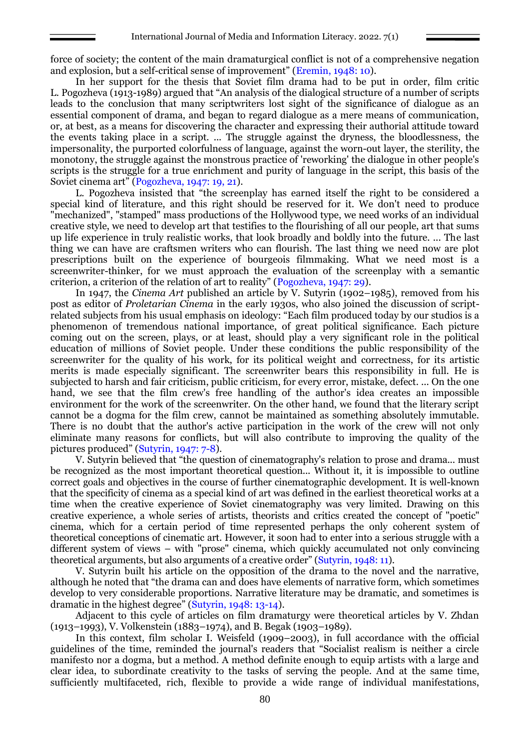force of society; the content of the main dramaturgical conflict is not of a comprehensive negation and explosion, but a self-critical sense of improvement" (Eremin, 1948: 10).

In her support for the thesis that Soviet film drama had to be put in order, film critic L. Pogozheva (1913-1989) argued that "An analysis of the dialogical structure of a number of scripts leads to the conclusion that many scriptwriters lost sight of the significance of dialogue as an essential component of drama, and began to regard dialogue as a mere means of communication, or, at best, as a means for discovering the character and expressing their authorial attitude toward the events taking place in a script. ... The struggle against the dryness, the bloodlessness, the impersonality, the purported colorfulness of language, against the worn-out layer, the sterility, the monotony, the struggle against the monstrous practice of 'reworking' the dialogue in other people's scripts is the struggle for a true enrichment and purity of language in the script, this basis of the Soviet cinema art" (Pogozheva, 1947: 19, 21).

L. Pogozheva insisted that "the screenplay has earned itself the right to be considered a special kind of literature, and this right should be reserved for it. We don't need to produce "mechanized", "stamped" mass productions of the Hollywood type, we need works of an individual creative style, we need to develop art that testifies to the flourishing of all our people, art that sums up life experience in truly realistic works, that look broadly and boldly into the future. ... The last thing we can have are craftsmen writers who can flourish. The last thing we need now are plot prescriptions built on the experience of bourgeois filmmaking. What we need most is a screenwriter-thinker, for we must approach the evaluation of the screenplay with a semantic criterion, a criterion of the relation of art to reality" (Pogozheva, 1947: 29).

In 1947, the *Cinema Art* published an article by V. Sutyrin (1902–1985), removed from his post as editor of *Proletarian Cinema* in the early 1930s, who also joined the discussion of scriptrelated subjects from his usual emphasis on ideology: "Each film produced today by our studios is a phenomenon of tremendous national importance, of great political significance. Each picture coming out on the screen, plays, or at least, should play a very significant role in the political education of millions of Soviet people. Under these conditions the public responsibility of the screenwriter for the quality of his work, for its political weight and correctness, for its artistic merits is made especially significant. The screenwriter bears this responsibility in full. He is subjected to harsh and fair criticism, public criticism, for every error, mistake, defect. ... On the one hand, we see that the film crew's free handling of the author's idea creates an impossible environment for the work of the screenwriter. On the other hand, we found that the literary script cannot be a dogma for the film crew, cannot be maintained as something absolutely immutable. There is no doubt that the author's active participation in the work of the crew will not only eliminate many reasons for conflicts, but will also contribute to improving the quality of the pictures produced" (Sutyrin, 1947: 7-8).

V. Sutyrin believed that "the question of cinematography's relation to prose and drama... must be recognized as the most important theoretical question... Without it, it is impossible to outline correct goals and objectives in the course of further cinematographic development. It is well-known that the specificity of cinema as a special kind of art was defined in the earliest theoretical works at a time when the creative experience of Soviet cinematography was very limited. Drawing on this creative experience, a whole series of artists, theorists and critics created the concept of "poetic" cinema, which for a certain period of time represented perhaps the only coherent system of theoretical conceptions of cinematic art. However, it soon had to enter into a serious struggle with a different system of views – with "prose" cinema, which quickly accumulated not only convincing theoretical arguments, but also arguments of a creative order" (Sutyrin, 1948: 11).

V. Sutyrin built his article on the opposition of the drama to the novel and the narrative, although he noted that "the drama can and does have elements of narrative form, which sometimes develop to very considerable proportions. Narrative literature may be dramatic, and sometimes is dramatic in the highest degree" (Sutyrin, 1948: 13-14).

Adjacent to this cycle of articles on film dramaturgy were theoretical articles by V. Zhdan (1913–1993), V. Volkenstein (1883–1974), and B. Begak (1903–1989).

In this context, film scholar I. Weisfeld (1909–2003), in full accordance with the official guidelines of the time, reminded the journal's readers that "Socialist realism is neither a circle manifesto nor a dogma, but a method. A method definite enough to equip artists with a large and clear idea, to subordinate creativity to the tasks of serving the people. And at the same time, sufficiently multifaceted, rich, flexible to provide a wide range of individual manifestations,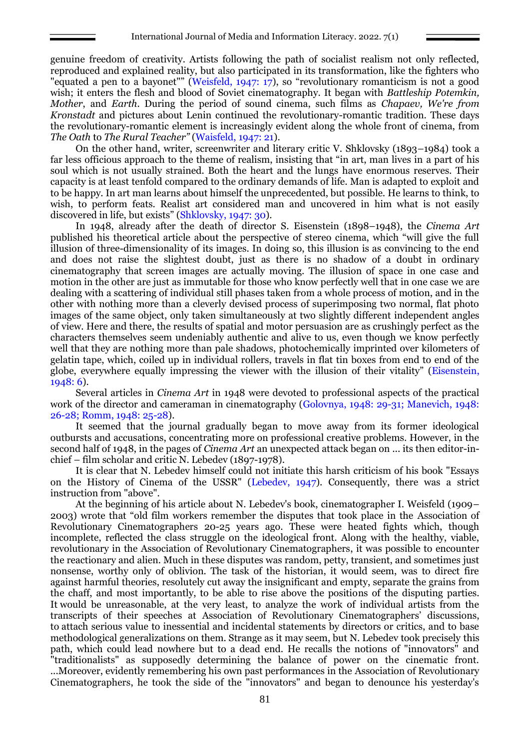genuine freedom of creativity. Artists following the path of socialist realism not only reflected, reproduced and explained reality, but also participated in its transformation, like the fighters who "equated a pen to a bayonet"" (Weisfeld, 1947: 17), so "revolutionary romanticism is not a good wish; it enters the flesh and blood of Soviet cinematography. It began with *Battleship Potemkin, Mother*, and *Earth*. During the period of sound cinema, such films as *Chapaev, We're from Kronstadt* and pictures about Lenin continued the revolutionary-romantic tradition. These days the revolutionary-romantic element is increasingly evident along the whole front of cinema, from *The Oath* to *The Rural Teacher"* (Waisfeld, 1947: 21).

On the other hand, writer, screenwriter and literary critic V. Shklovsky (1893–1984) took a far less officious approach to the theme of realism, insisting that "in art, man lives in a part of his soul which is not usually strained. Both the heart and the lungs have enormous reserves. Their capacity is at least tenfold compared to the ordinary demands of life. Man is adapted to exploit and to be happy. In art man learns about himself the unprecedented, but possible. He learns to think, to wish, to perform feats. Realist art considered man and uncovered in him what is not easily discovered in life, but exists" (Shklovsky, 1947: 30).

In 1948, already after the death of director S. Eisenstein (1898–1948), the *Cinema Art* published his theoretical article about the perspective of stereo cinema, which "will give the full illusion of three-dimensionality of its images. In doing so, this illusion is as convincing to the end and does not raise the slightest doubt, just as there is no shadow of a doubt in ordinary cinematography that screen images are actually moving. The illusion of space in one case and motion in the other are just as immutable for those who know perfectly well that in one case we are dealing with a scattering of individual still phases taken from a whole process of motion, and in the other with nothing more than a cleverly devised process of superimposing two normal, flat photo images of the same object, only taken simultaneously at two slightly different independent angles of view. Here and there, the results of spatial and motor persuasion are as crushingly perfect as the characters themselves seem undeniably authentic and alive to us, even though we know perfectly well that they are nothing more than pale shadows, photochemically imprinted over kilometers of gelatin tape, which, coiled up in individual rollers, travels in flat tin boxes from end to end of the globe, everywhere equally impressing the viewer with the illusion of their vitality" (Eisenstein, 1948: 6).

Several articles in *Cinema Art* in 1948 were devoted to professional aspects of the practical work of the director and cameraman in cinematography (Golovnya, 1948: 29-31; Manevich, 1948: 26-28; Romm, 1948: 25-28).

It seemed that the journal gradually began to move away from its former ideological outbursts and accusations, concentrating more on professional creative problems. However, in the second half of 1948, in the pages of *Cinema Art* an unexpected attack began on ... its then editor-inchief – film scholar and critic N. Lebedev (1897-1978).

It is clear that N. Lebedev himself could not initiate this harsh criticism of his book "Essays on the History of Cinema of the USSR" (Lebedev, 1947). Consequently, there was a strict instruction from "above".

At the beginning of his article about N. Lebedev's book, cinematographer I. Weisfeld (1909– 2003) wrote that "old film workers remember the disputes that took place in the Association of Revolutionary Cinematographers 20-25 years ago. These were heated fights which, though incomplete, reflected the class struggle on the ideological front. Along with the healthy, viable, revolutionary in the Association of Revolutionary Cinematographers, it was possible to encounter the reactionary and alien. Much in these disputes was random, petty, transient, and sometimes just nonsense, worthy only of oblivion. The task of the historian, it would seem, was to direct fire against harmful theories, resolutely cut away the insignificant and empty, separate the grains from the chaff, and most importantly, to be able to rise above the positions of the disputing parties. It would be unreasonable, at the very least, to analyze the work of individual artists from the transcripts of their speeches at Association of Revolutionary Cinematographers' discussions, to attach serious value to inessential and incidental statements by directors or critics, and to base methodological generalizations on them. Strange as it may seem, but N. Lebedev took precisely this path, which could lead nowhere but to a dead end. He recalls the notions of "innovators" and "traditionalists" as supposedly determining the balance of power on the cinematic front. ...Moreover, evidently remembering his own past performances in the Association of Revolutionary Cinematographers, he took the side of the "innovators" and began to denounce his yesterday's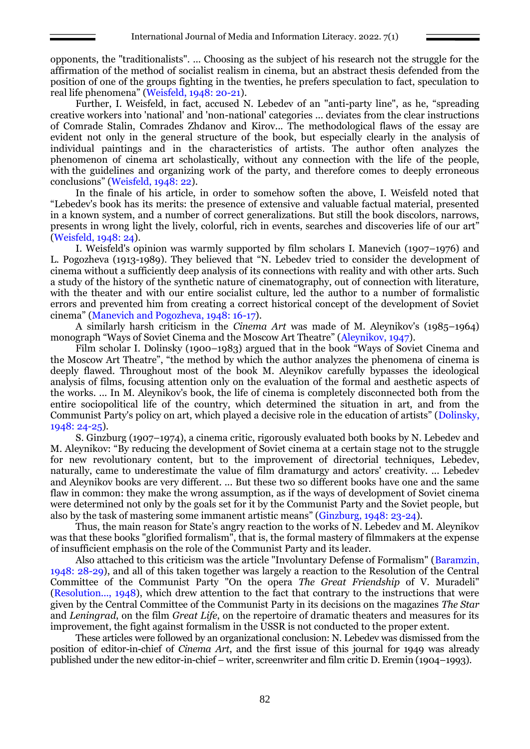opponents, the "traditionalists". ... Choosing as the subject of his research not the struggle for the affirmation of the method of socialist realism in cinema, but an abstract thesis defended from the position of one of the groups fighting in the twenties, he prefers speculation to fact, speculation to real life phenomena" (Weisfeld, 1948: 20-21).

Further, I. Weisfeld, in fact, accused N. Lebedev of an "anti-party line", as he, "spreading creative workers into 'national' and 'non-national' categories ... deviates from the clear instructions of Comrade Stalin, Comrades Zhdanov and Kirov... The methodological flaws of the essay are evident not only in the general structure of the book, but especially clearly in the analysis of individual paintings and in the characteristics of artists. The author often analyzes the phenomenon of cinema art scholastically, without any connection with the life of the people, with the guidelines and organizing work of the party, and therefore comes to deeply erroneous conclusions" (Weisfeld, 1948: 22).

In the finale of his article, in order to somehow soften the above, I. Weisfeld noted that "Lebedev's book has its merits: the presence of extensive and valuable factual material, presented in a known system, and a number of correct generalizations. But still the book discolors, narrows, presents in wrong light the lively, colorful, rich in events, searches and discoveries life of our art" (Weisfeld, 1948: 24).

I. Weisfeld's opinion was warmly supported by film scholars I. Manevich (1907–1976) and L. Pogozheva (1913-1989). They believed that "N. Lebedev tried to consider the development of cinema without a sufficiently deep analysis of its connections with reality and with other arts. Such a study of the history of the synthetic nature of cinematography, out of connection with literature, with the theater and with our entire socialist culture, led the author to a number of formalistic errors and prevented him from creating a correct historical concept of the development of Soviet cinema" (Manevich and Pogozheva, 1948: 16-17).

A similarly harsh criticism in the *Cinema Art* was made of M. Aleynikov's (1985–1964) monograph "Ways of Soviet Cinema and the Moscow Art Theatre" (Aleynikov, 1947).

Film scholar I. Dolinsky (1900–1983) argued that in the book "Ways of Soviet Cinema and the Moscow Art Theatre", "the method by which the author analyzes the phenomena of cinema is deeply flawed. Throughout most of the book M. Aleynikov carefully bypasses the ideological analysis of films, focusing attention only on the evaluation of the formal and aesthetic aspects of the works. ... In M. Aleynikov's book, the life of cinema is completely disconnected both from the entire sociopolitical life of the country, which determined the situation in art, and from the Communist Party's policy on art, which played a decisive role in the education of artists" (Dolinsky, 1948: 24-25).

S. Ginzburg (1907–1974), a cinema critic, rigorously evaluated both books by N. Lebedev and M. Aleynikov: "By reducing the development of Soviet cinema at a certain stage not to the struggle for new revolutionary content, but to the improvement of directorial techniques, Lebedev, naturally, came to underestimate the value of film dramaturgy and actors' creativity. ... Lebedev and Aleynikov books are very different. ... But these two so different books have one and the same flaw in common: they make the wrong assumption, as if the ways of development of Soviet cinema were determined not only by the goals set for it by the Communist Party and the Soviet people, but also by the task of mastering some immanent artistic means" (Ginzburg, 1948: 23-24).

Thus, the main reason for State's angry reaction to the works of N. Lebedev and M. Aleynikov was that these books "glorified formalism", that is, the formal mastery of filmmakers at the expense of insufficient emphasis on the role of the Communist Party and its leader.

Also attached to this criticism was the article "Involuntary Defense of Formalism" (Baramzin, 1948: 28-29), and all of this taken together was largely a reaction to the Resolution of the Central Committee of the Communist Party "On the opera *The Great Friendship* of V. Muradeli" (Resolution..., 1948), which drew attention to the fact that contrary to the instructions that were given by the Central Committee of the Communist Party in its decisions on the magazines *The Star* and *Leningrad*, on the film *Great Life*, on the repertoire of dramatic theaters and measures for its improvement, the fight against formalism in the USSR is not conducted to the proper extent.

These articles were followed by an organizational conclusion: N. Lebedev was dismissed from the position of editor-in-chief of *Cinema Art*, and the first issue of this journal for 1949 was already published under the new editor-in-chief – writer, screenwriter and film critic D. Eremin (1904–1993).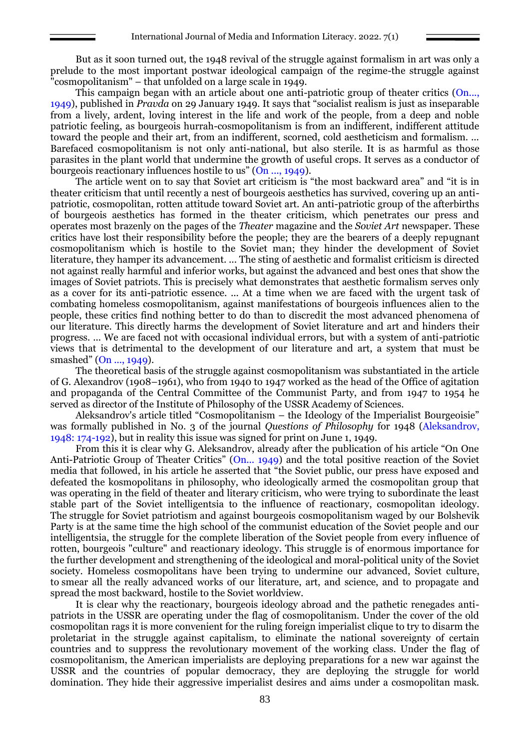But as it soon turned out, the 1948 revival of the struggle against formalism in art was only a prelude to the most important postwar ideological campaign of the regime-the struggle against "cosmopolitanism" – that unfolded on a large scale in 1949.

This campaign began with an article about one anti-patriotic group of theater critics (On..., 1949), published in *Pravda* on 29 January 1949. It says that "socialist realism is just as inseparable from a lively, ardent, loving interest in the life and work of the people, from a deep and noble patriotic feeling, as bourgeois hurrah-cosmopolitanism is from an indifferent, indifferent attitude toward the people and their art, from an indifferent, scorned, cold aestheticism and formalism. ... Barefaced cosmopolitanism is not only anti-national, but also sterile. It is as harmful as those parasites in the plant world that undermine the growth of useful crops. It serves as a conductor of bourgeois reactionary influences hostile to us" (On ..., 1949).

The article went on to say that Soviet art criticism is "the most backward area" and "it is in theater criticism that until recently a nest of bourgeois aesthetics has survived, covering up an antipatriotic, cosmopolitan, rotten attitude toward Soviet art. An anti-patriotic group of the afterbirths of bourgeois aesthetics has formed in the theater criticism, which penetrates our press and operates most brazenly on the pages of the *Theater* magazine and the *Soviet Art* newspaper. These critics have lost their responsibility before the people; they are the bearers of a deeply repugnant cosmopolitanism which is hostile to the Soviet man; they hinder the development of Soviet literature, they hamper its advancement. ... The sting of aesthetic and formalist criticism is directed not against really harmful and inferior works, but against the advanced and best ones that show the images of Soviet patriots. This is precisely what demonstrates that aesthetic formalism serves only as a cover for its anti-patriotic essence. ... At a time when we are faced with the urgent task of combating homeless cosmopolitanism, against manifestations of bourgeois influences alien to the people, these critics find nothing better to do than to discredit the most advanced phenomena of our literature. This directly harms the development of Soviet literature and art and hinders their progress. ... We are faced not with occasional individual errors, but with a system of anti-patriotic views that is detrimental to the development of our literature and art, a system that must be smashed" (On ..., 1949).

The theoretical basis of the struggle against cosmopolitanism was substantiated in the article of G. Alexandrov (1908–1961), who from 1940 to 1947 worked as the head of the Office of agitation and propaganda of the Central Committee of the Communist Party, and from 1947 to 1954 he served as director of the Institute of Philosophy of the USSR Academy of Sciences.

Aleksandrov's article titled "Cosmopolitanism – the Ideology of the Imperialist Bourgeoisie" was formally published in No. 3 of the journal *Questions of Philosophy* for 1948 (Aleksandrov, 1948: 174-192), but in reality this issue was signed for print on June 1, 1949.

From this it is clear why G. Aleksandrov, already after the publication of his article "On One Anti-Patriotic Group of Theater Critics" (On... 1949) and the total positive reaction of the Soviet media that followed, in his article he asserted that "the Soviet public, our press have exposed and defeated the kosmopolitans in philosophy, who ideologically armed the cosmopolitan group that was operating in the field of theater and literary criticism, who were trying to subordinate the least stable part of the Soviet intelligentsia to the influence of reactionary, cosmopolitan ideology. The struggle for Soviet patriotism and against bourgeois cosmopolitanism waged by our Bolshevik Party is at the same time the high school of the communist education of the Soviet people and our intelligentsia, the struggle for the complete liberation of the Soviet people from every influence of rotten, bourgeois "culture" and reactionary ideology. This struggle is of enormous importance for the further development and strengthening of the ideological and moral-political unity of the Soviet society. Homeless cosmopolitans have been trying to undermine our advanced, Soviet culture, to smear all the really advanced works of our literature, art, and science, and to propagate and spread the most backward, hostile to the Soviet worldview.

It is clear why the reactionary, bourgeois ideology abroad and the pathetic renegades antipatriots in the USSR are operating under the flag of cosmopolitanism. Under the cover of the old cosmopolitan rags it is more convenient for the ruling foreign imperialist clique to try to disarm the proletariat in the struggle against capitalism, to eliminate the national sovereignty of certain countries and to suppress the revolutionary movement of the working class. Under the flag of cosmopolitanism, the American imperialists are deploying preparations for a new war against the USSR and the countries of popular democracy, they are deploying the struggle for world domination. They hide their aggressive imperialist desires and aims under a cosmopolitan mask.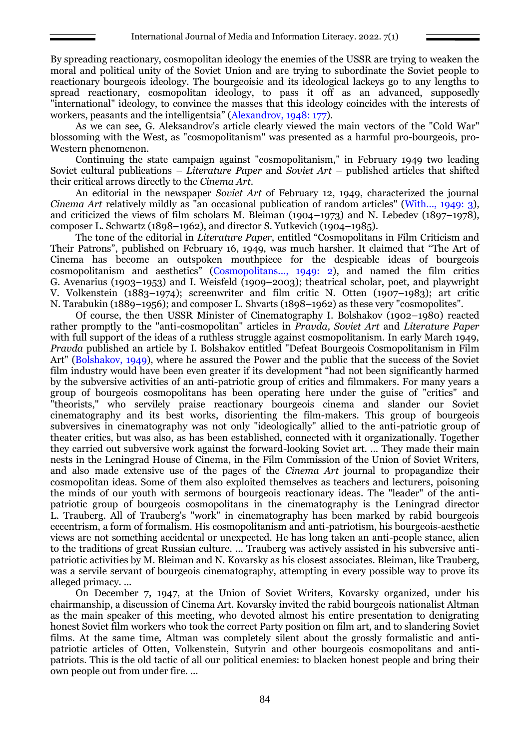By spreading reactionary, cosmopolitan ideology the enemies of the USSR are trying to weaken the moral and political unity of the Soviet Union and are trying to subordinate the Soviet people to reactionary bourgeois ideology. The bourgeoisie and its ideological lackeys go to any lengths to spread reactionary, cosmopolitan ideology, to pass it off as an advanced, supposedly "international" ideology, to convince the masses that this ideology coincides with the interests of workers, peasants and the intelligentsia" (Alexandrov, 1948: 177).

As we can see, G. Aleksandrov's article clearly viewed the main vectors of the "Cold War" blossoming with the West, as "cosmopolitanism" was presented as a harmful pro-bourgeois, pro-Western phenomenon.

Continuing the state campaign against "cosmopolitanism," in February 1949 two leading Soviet cultural publications – *Literature Paper* and *Soviet Art* – published articles that shifted their critical arrows directly to the *Cinema Art*.

An editorial in the newspaper *Soviet Art* of February 12, 1949, characterized the journal *Cinema Art* relatively mildly as "an occasional publication of random articles" (With..., 1949: 3), and criticized the views of film scholars M. Bleiman (1904–1973) and N. Lebedev (1897–1978), composer L. Schwartz (1898–1962), and director S. Yutkevich (1904–1985).

The tone of the editorial in *Literature Paper*, entitled "Cosmopolitans in Film Criticism and Their Patrons", published on February 16, 1949, was much harsher. It claimed that "The Art of Cinema has become an outspoken mouthpiece for the despicable ideas of bourgeois cosmopolitanism and aesthetics" (Cosmopolitans..., 1949: 2), and named the film critics G. Avenarius (1903–1953) and I. Weisfeld (1909–2003); theatrical scholar, poet, and playwright V. Volkenstein (1883–1974); screenwriter and film critic N. Otten (1907–1983); art critic N. Tarabukin (1889–1956); and composer L. Shvarts (1898–1962) as these very "cosmopolites".

Of course, the then USSR Minister of Cinematography I. Bolshakov (1902–1980) reacted rather promptly to the "anti-cosmopolitan" articles in *Pravda, Soviet Art* and *Literature Paper* with full support of the ideas of a ruthless struggle against cosmopolitanism. In early March 1949, *Pravda* published an article by I. Bolshakov entitled "Defeat Bourgeois Cosmopolitanism in Film Art" (Bolshakov, 1949), where he assured the Power and the public that the success of the Soviet film industry would have been even greater if its development "had not been significantly harmed by the subversive activities of an anti-patriotic group of critics and filmmakers. For many years a group of bourgeois cosmopolitans has been operating here under the guise of "critics" and "theorists," who servilely praise reactionary bourgeois cinema and slander our Soviet cinematography and its best works, disorienting the film-makers. This group of bourgeois subversives in cinematography was not only "ideologically" allied to the anti-patriotic group of theater critics, but was also, as has been established, connected with it organizationally. Together they carried out subversive work against the forward-looking Soviet art. ... They made their main nests in the Leningrad House of Cinema, in the Film Commission of the Union of Soviet Writers, and also made extensive use of the pages of the *Cinema Art* journal to propagandize their cosmopolitan ideas. Some of them also exploited themselves as teachers and lecturers, poisoning the minds of our youth with sermons of bourgeois reactionary ideas. The "leader" of the antipatriotic group of bourgeois cosmopolitans in the cinematography is the Leningrad director L. Trauberg. All of Trauberg's "work" in cinematography has been marked by rabid bourgeois eccentrism, a form of formalism. His cosmopolitanism and anti-patriotism, his bourgeois-aesthetic views are not something accidental or unexpected. He has long taken an anti-people stance, alien to the traditions of great Russian culture. ... Trauberg was actively assisted in his subversive antipatriotic activities by M. Bleiman and N. Kovarsky as his closest associates. Bleiman, like Trauberg, was a servile servant of bourgeois cinematography, attempting in every possible way to prove its alleged primacy. ...

On December 7, 1947, at the Union of Soviet Writers, Kovarsky organized, under his chairmanship, a discussion of Cinema Art. Kovarsky invited the rabid bourgeois nationalist Altman as the main speaker of this meeting, who devoted almost his entire presentation to denigrating honest Soviet film workers who took the correct Party position on film art, and to slandering Soviet films. At the same time, Altman was completely silent about the grossly formalistic and antipatriotic articles of Otten, Volkenstein, Sutyrin and other bourgeois cosmopolitans and antipatriots. This is the old tactic of all our political enemies: to blacken honest people and bring their own people out from under fire. ...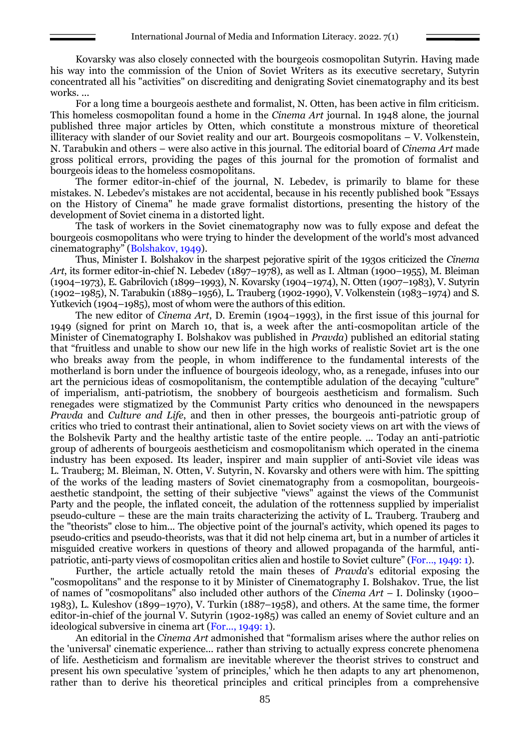Kovarsky was also closely connected with the bourgeois cosmopolitan Sutyrin. Having made his way into the commission of the Union of Soviet Writers as its executive secretary, Sutyrin concentrated all his "activities" on discrediting and denigrating Soviet cinematography and its best works. ...

For a long time a bourgeois aesthete and formalist, N. Otten, has been active in film criticism. This homeless cosmopolitan found a home in the *Cinema Art* journal. In 1948 alone, the journal published three major articles by Otten, which constitute a monstrous mixture of theoretical illiteracy with slander of our Soviet reality and our art. Bourgeois cosmopolitans – V. Volkenstein, N. Tarabukin and others – were also active in this journal. The editorial board of *Cinema Art* made gross political errors, providing the pages of this journal for the promotion of formalist and bourgeois ideas to the homeless cosmopolitans.

The former editor-in-chief of the journal, N. Lebedev, is primarily to blame for these mistakes. N. Lebedev's mistakes are not accidental, because in his recently published book "Essays on the History of Cinema" he made grave formalist distortions, presenting the history of the development of Soviet cinema in a distorted light.

The task of workers in the Soviet cinematography now was to fully expose and defeat the bourgeois cosmopolitans who were trying to hinder the development of the world's most advanced cinematography" (Bolshakov, 1949).

Thus, Minister I. Bolshakov in the sharpest pejorative spirit of the 1930s criticized the *Cinema Art*, its former editor-in-chief N. Lebedev (1897–1978), as well as I. Altman (1900–1955), M. Bleiman (1904–1973), E. Gabrilovich (1899–1993), N. Kovarsky (1904–1974), N. Otten (1907–1983), V. Sutyrin (1902–1985), N. Tarabukin (1889–1956), L. Trauberg (1902-1990), V. Volkenstein (1983–1974) and S. Yutkevich (1904–1985), most of whom were the authors of this edition.

The new editor of *Cinema Art*, D. Eremin (1904–1993), in the first issue of this journal for 1949 (signed for print on March 10, that is, a week after the anti-cosmopolitan article of the Minister of Cinematography I. Bolshakov was published in *Pravda*) published an editorial stating that "fruitless and unable to show our new life in the high works of realistic Soviet art is the one who breaks away from the people, in whom indifference to the fundamental interests of the motherland is born under the influence of bourgeois ideology, who, as a renegade, infuses into our art the pernicious ideas of cosmopolitanism, the contemptible adulation of the decaying "culture" of imperialism, anti-patriotism, the snobbery of bourgeois aestheticism and formalism. Such renegades were stigmatized by the Communist Party critics who denounced in the newspapers *Pravda* and *Culture and Life*, and then in other presses, the bourgeois anti-patriotic group of critics who tried to contrast their antinational, alien to Soviet society views on art with the views of the Bolshevik Party and the healthy artistic taste of the entire people. ... Today an anti-patriotic group of adherents of bourgeois aestheticism and cosmopolitanism which operated in the cinema industry has been exposed. Its leader, inspirer and main supplier of anti-Soviet vile ideas was L. Trauberg; M. Bleiman, N. Otten, V. Sutyrin, N. Kovarsky and others were with him. The spitting of the works of the leading masters of Soviet cinematography from a cosmopolitan, bourgeoisaesthetic standpoint, the setting of their subjective "views" against the views of the Communist Party and the people, the inflated conceit, the adulation of the rottenness supplied by imperialist pseudo-culture – these are the main traits characterizing the activity of L. Trauberg. Trauberg and the "theorists" close to him... The objective point of the journal's activity, which opened its pages to pseudo-critics and pseudo-theorists, was that it did not help cinema art, but in a number of articles it misguided creative workers in questions of theory and allowed propaganda of the harmful, antipatriotic, anti-party views of cosmopolitan critics alien and hostile to Soviet culture" (For…, 1949: 1).

Further, the article actually retold the main theses of *Pravda*'s editorial exposing the "cosmopolitans" and the response to it by Minister of Cinematography I. Bolshakov. True, the list of names of "cosmopolitans" also included other authors of the *Cinema Art* – I. Dolinsky (1900– 1983), L. Kuleshov (1899–1970), V. Turkin (1887–1958), and others. At the same time, the former editor-in-chief of the journal V. Sutyrin (1902-1985) was called an enemy of Soviet culture and an ideological subversive in cinema art (For..., 1949: 1).

An editorial in the *Cinema Art* admonished that "formalism arises where the author relies on the 'universal' cinematic experience... rather than striving to actually express concrete phenomena of life. Aestheticism and formalism are inevitable wherever the theorist strives to construct and present his own speculative 'system of principles,' which he then adapts to any art phenomenon, rather than to derive his theoretical principles and critical principles from a comprehensive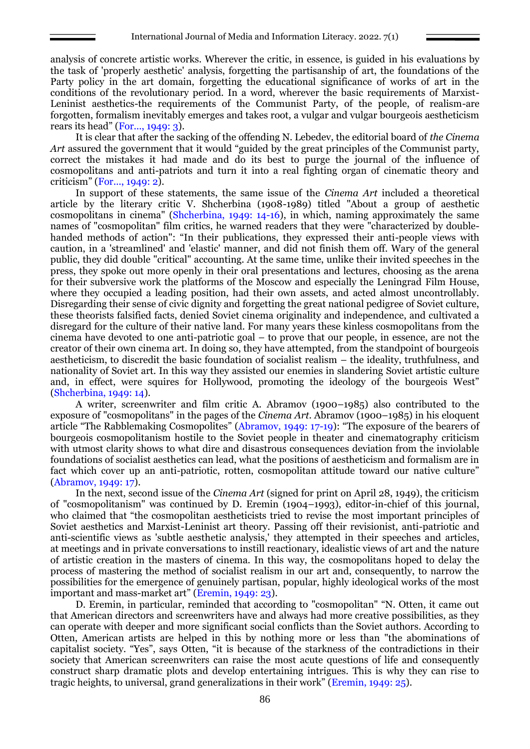analysis of concrete artistic works. Wherever the critic, in essence, is guided in his evaluations by the task of 'properly aesthetic' analysis, forgetting the partisanship of art, the foundations of the Party policy in the art domain, forgetting the educational significance of works of art in the conditions of the revolutionary period. In a word, wherever the basic requirements of Marxist-Leninist aesthetics-the requirements of the Communist Party, of the people, of realism-are forgotten, formalism inevitably emerges and takes root, a vulgar and vulgar bourgeois aestheticism rears its head" (For..., 1949: 3).

It is clear that after the sacking of the offending N. Lebedev, the editorial board of *the Cinema Art* assured the government that it would "guided by the great principles of the Communist party, correct the mistakes it had made and do its best to purge the journal of the influence of cosmopolitans and anti-patriots and turn it into a real fighting organ of cinematic theory and criticism" (For..., 1949: 2).

In support of these statements, the same issue of the *Cinema Art* included a theoretical article by the literary critic V. Shcherbina (1908-1989) titled "About a group of aesthetic cosmopolitans in cinema" (Shcherbina, 1949: 14-16), in which, naming approximately the same names of "cosmopolitan" film critics, he warned readers that they were "characterized by doublehanded methods of action": "In their publications, they expressed their anti-people views with caution, in a 'streamlined' and 'elastic' manner, and did not finish them off. Wary of the general public, they did double "critical" accounting. At the same time, unlike their invited speeches in the press, they spoke out more openly in their oral presentations and lectures, choosing as the arena for their subversive work the platforms of the Moscow and especially the Leningrad Film House, where they occupied a leading position, had their own assets, and acted almost uncontrollably. Disregarding their sense of civic dignity and forgetting the great national pedigree of Soviet culture, these theorists falsified facts, denied Soviet cinema originality and independence, and cultivated a disregard for the culture of their native land. For many years these kinless cosmopolitans from the cinema have devoted to one anti-patriotic goal – to prove that our people, in essence, are not the creator of their own cinema art. In doing so, they have attempted, from the standpoint of bourgeois aestheticism, to discredit the basic foundation of socialist realism – the ideality, truthfulness, and nationality of Soviet art. In this way they assisted our enemies in slandering Soviet artistic culture and, in effect, were squires for Hollywood, promoting the ideology of the bourgeois West" (Shcherbina, 1949: 14).

A writer, screenwriter and film critic A. Abramov (1900–1985) also contributed to the exposure of "cosmopolitans" in the pages of the *Cinema Art*. Abramov (1900–1985) in his eloquent article "The Rabblemaking Cosmopolites" (Abramov, 1949: 17-19): "The exposure of the bearers of bourgeois cosmopolitanism hostile to the Soviet people in theater and cinematography criticism with utmost clarity shows to what dire and disastrous consequences deviation from the inviolable foundations of socialist aesthetics can lead, what the positions of aestheticism and formalism are in fact which cover up an anti-patriotic, rotten, cosmopolitan attitude toward our native culture" (Abramov, 1949: 17).

In the next, second issue of the *Cinema Art* (signed for print on April 28, 1949), the criticism of "cosmopolitanism" was continued by D. Eremin (1904–1993), editor-in-chief of this journal, who claimed that "the cosmopolitan aestheticists tried to revise the most important principles of Soviet aesthetics and Marxist-Leninist art theory. Passing off their revisionist, anti-patriotic and anti-scientific views as 'subtle aesthetic analysis,' they attempted in their speeches and articles, at meetings and in private conversations to instill reactionary, idealistic views of art and the nature of artistic creation in the masters of cinema. In this way, the cosmopolitans hoped to delay the process of mastering the method of socialist realism in our art and, consequently, to narrow the possibilities for the emergence of genuinely partisan, popular, highly ideological works of the most important and mass-market art" (Eremin, 1949: 23).

D. Eremin, in particular, reminded that according to "cosmopolitan" "N. Otten, it came out that American directors and screenwriters have and always had more creative possibilities, as they can operate with deeper and more significant social conflicts than the Soviet authors. According to Otten, American artists are helped in this by nothing more or less than "the abominations of capitalist society. "Yes", says Otten, "it is because of the starkness of the contradictions in their society that American screenwriters can raise the most acute questions of life and consequently construct sharp dramatic plots and develop entertaining intrigues. This is why they can rise to tragic heights, to universal, grand generalizations in their work" (Eremin, 1949: 25).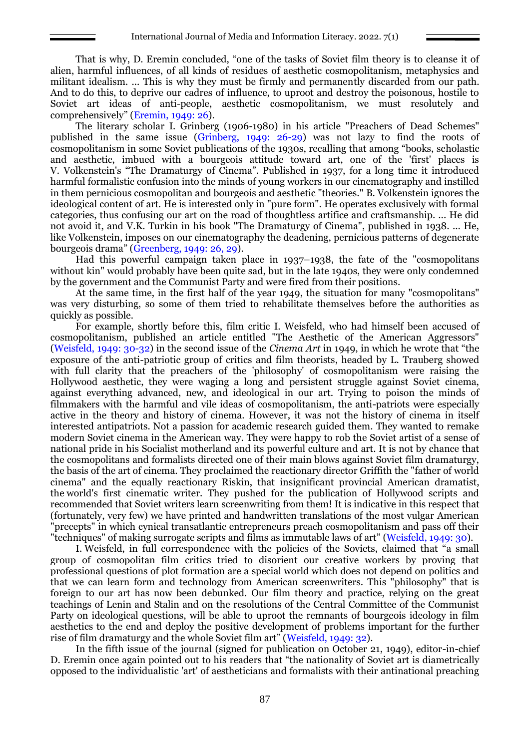That is why, D. Eremin concluded, "one of the tasks of Soviet film theory is to cleanse it of alien, harmful influences, of all kinds of residues of aesthetic cosmopolitanism, metaphysics and militant idealism. ... This is why they must be firmly and permanently discarded from our path. And to do this, to deprive our cadres of influence, to uproot and destroy the poisonous, hostile to Soviet art ideas of anti-people, aesthetic cosmopolitanism, we must resolutely and comprehensively" (Eremin, 1949: 26).

The literary scholar I. Grinberg (1906-1980) in his article "Preachers of Dead Schemes" published in the same issue (Grinberg, 1949: 26-29) was not lazy to find the roots of cosmopolitanism in some Soviet publications of the 1930s, recalling that among "books, scholastic and aesthetic, imbued with a bourgeois attitude toward art, one of the 'first' places is V. Volkenstein's "The Dramaturgy of Cinema". Published in 1937, for a long time it introduced harmful formalistic confusion into the minds of young workers in our cinematography and instilled in them pernicious cosmopolitan and bourgeois and aesthetic "theories." В. Volkenstein ignores the ideological content of art. He is interested only in "pure form". He operates exclusively with formal categories, thus confusing our art on the road of thoughtless artifice and craftsmanship. ... He did not avoid it, and V.K. Turkin in his book "The Dramaturgy of Cinema", published in 1938. ... He, like Volkenstein, imposes on our cinematography the deadening, pernicious patterns of degenerate bourgeois drama" (Greenberg, 1949: 26, 29).

Had this powerful campaign taken place in 1937–1938, the fate of the "cosmopolitans without kin" would probably have been quite sad, but in the late 1940s, they were only condemned by the government and the Communist Party and were fired from their positions.

At the same time, in the first half of the year 1949, the situation for many "cosmopolitans" was very disturbing, so some of them tried to rehabilitate themselves before the authorities as quickly as possible.

For example, shortly before this, film critic I. Weisfeld, who had himself been accused of cosmopolitanism, published an article entitled "The Aesthetic of the American Aggressors" (Weisfeld, 1949: 30-32) in the second issue of the *Cinema Art* in 1949, in which he wrote that "the exposure of the anti-patriotic group of critics and film theorists, headed by L. Trauberg showed with full clarity that the preachers of the 'philosophy' of cosmopolitanism were raising the Hollywood aesthetic, they were waging a long and persistent struggle against Soviet cinema, against everything advanced, new, and ideological in our art. Trying to poison the minds of filmmakers with the harmful and vile ideas of cosmopolitanism, the anti-patriots were especially active in the theory and history of cinema. However, it was not the history of cinema in itself interested antipatriots. Not a passion for academic research guided them. They wanted to remake modern Soviet cinema in the American way. They were happy to rob the Soviet artist of a sense of national pride in his Socialist motherland and its powerful culture and art. It is not by chance that the cosmopolitans and formalists directed one of their main blows against Soviet film dramaturgy, the basis of the art of cinema. They proclaimed the reactionary director Griffith the "father of world cinema" and the equally reactionary Riskin, that insignificant provincial American dramatist, the world's first cinematic writer. They pushed for the publication of Hollywood scripts and recommended that Soviet writers learn screenwriting from them! It is indicative in this respect that (fortunately, very few) we have printed and handwritten translations of the most vulgar American "precepts" in which cynical transatlantic entrepreneurs preach cosmopolitanism and pass off their "techniques" of making surrogate scripts and films as immutable laws of art" (Weisfeld, 1949: 30).

I. Weisfeld, in full correspondence with the policies of the Soviets, claimed that "a small group of cosmopolitan film critics tried to disorient our creative workers by proving that professional questions of plot formation are a special world which does not depend on politics and that we can learn form and technology from American screenwriters. This "philosophy" that is foreign to our art has now been debunked. Our film theory and practice, relying on the great teachings of Lenin and Stalin and on the resolutions of the Central Committee of the Communist Party on ideological questions, will be able to uproot the remnants of bourgeois ideology in film aesthetics to the end and deploy the positive development of problems important for the further rise of film dramaturgy and the whole Soviet film art" (Weisfeld, 1949: 32).

In the fifth issue of the journal (signed for publication on October 21, 1949), editor-in-chief D. Eremin once again pointed out to his readers that "the nationality of Soviet art is diametrically opposed to the individualistic 'art' of aestheticians and formalists with their antinational preaching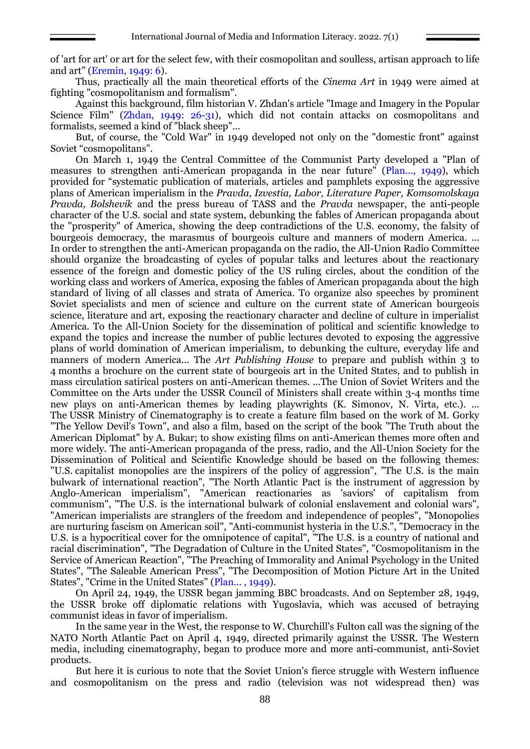of 'art for art' or art for the select few, with their cosmopolitan and soulless, artisan approach to life and art" (Eremin, 1949: 6).

Thus, practically all the main theoretical efforts of the *Cinema Art* in 1949 were aimed at fighting "cosmopolitanism and formalism".

Against this background, film historian V. Zhdan's article "Image and Imagery in the Popular Science Film" (Zhdan, 1949: 26-31), which did not contain attacks on cosmopolitans and formalists, seemed a kind of "black sheep"...

But, of course, the "Cold War" in 1949 developed not only on the "domestic front" against Soviet "cosmopolitans".

On March 1, 1949 the Central Committee of the Communist Party developed a "Plan of measures to strengthen anti-American propaganda in the near future" (Plan..., 1949), which provided for "systematic publication of materials, articles and pamphlets exposing the aggressive plans of American imperialism in the *Pravda, Izvestia, Labor, Literature Paper, Komsomolskaya Pravda, Bolshevik* and the press bureau of TASS and the *Pravda* newspaper, the anti-people character of the U.S. social and state system, debunking the fables of American propaganda about the "prosperity" of America, showing the deep contradictions of the U.S. economy, the falsity of bourgeois democracy, the marasmus of bourgeois culture and manners of modern America. ... In order to strengthen the anti-American propaganda on the radio, the All-Union Radio Committee should organize the broadcasting of cycles of popular talks and lectures about the reactionary essence of the foreign and domestic policy of the US ruling circles, about the condition of the working class and workers of America, exposing the fables of American propaganda about the high standard of living of all classes and strata of America. To organize also speeches by prominent Soviet specialists and men of science and culture on the current state of American bourgeois science, literature and art, exposing the reactionary character and decline of culture in imperialist America. To the All-Union Society for the dissemination of political and scientific knowledge to expand the topics and increase the number of public lectures devoted to exposing the aggressive plans of world domination of American imperialism, to debunking the culture, everyday life and manners of modern America... The *Art Publishing House* to prepare and publish within 3 to 4 months a brochure on the current state of bourgeois art in the United States, and to publish in mass circulation satirical posters on anti-American themes. ...The Union of Soviet Writers and the Committee on the Arts under the USSR Council of Ministers shall create within 3-4 months time new plays on anti-American themes by leading playwrights (K. Simonov, N. Virta, etc.). ... The USSR Ministry of Cinematography is to create a feature film based on the work of M. Gorky "The Yellow Devil's Town", and also a film, based on the script of the book "The Truth about the American Diplomat" by A. Bukar; to show existing films on anti-American themes more often and more widely. The anti-American propaganda of the press, radio, and the All-Union Society for the Dissemination of Political and Scientific Knowledge should be based on the following themes: "U.S. capitalist monopolies are the inspirers of the policy of aggression", "The U.S. is the main bulwark of international reaction", "The North Atlantic Pact is the instrument of aggression by Anglo-American imperialism", "American reactionaries as 'saviors' of capitalism from communism", "The U.S. is the international bulwark of colonial enslavement and colonial wars", "American imperialists are stranglers of the freedom and independence of peoples", "Monopolies are nurturing fascism on American soil", "Anti-communist hysteria in the U.S.", "Democracy in the U.S. is a hypocritical cover for the omnipotence of capital", "The U.S. is a country of national and racial discrimination", "The Degradation of Culture in the United States", "Cosmopolitanism in the Service of American Reaction", "The Preaching of Immorality and Animal Psychology in the United States", "The Saleable American Press", "The Decomposition of Motion Picture Art in the United States", "Crime in the United States" (Plan... , 1949).

On April 24, 1949, the USSR began jamming BBC broadcasts. And on September 28, 1949, the USSR broke off diplomatic relations with Yugoslavia, which was accused of betraying communist ideas in favor of imperialism.

In the same year in the West, the response to W. Churchill's Fulton call was the signing of the NATO North Atlantic Pact on April 4, 1949, directed primarily against the USSR. The Western media, including cinematography, began to produce more and more anti-communist, anti-Soviet products.

But here it is curious to note that the Soviet Union's fierce struggle with Western influence and cosmopolitanism on the press and radio (television was not widespread then) was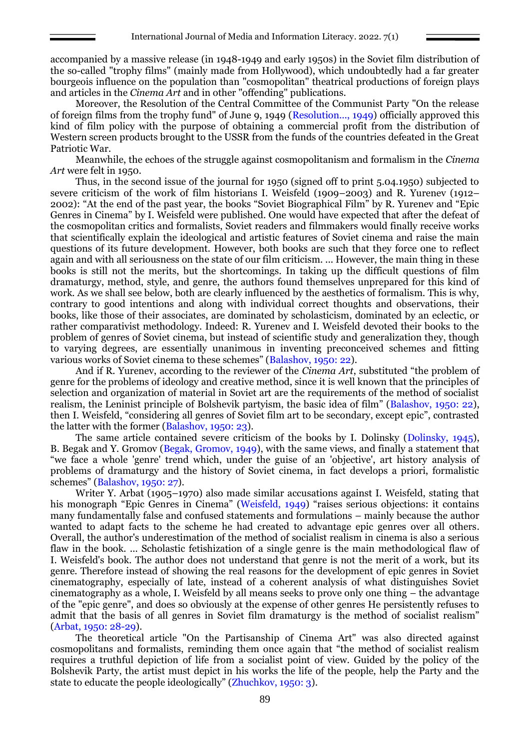accompanied by a massive release (in 1948-1949 and early 1950s) in the Soviet film distribution of the so-called "trophy films" (mainly made from Hollywood), which undoubtedly had a far greater bourgeois influence on the population than "cosmopolitan" theatrical productions of foreign plays and articles in the *Cinema Art* and in other "offending" publications.

Moreover, the Resolution of the Central Committee of the Communist Party "On the release of foreign films from the trophy fund" of June 9, 1949 (Resolution..., 1949) officially approved this kind of film policy with the purpose of obtaining a commercial profit from the distribution of Western screen products brought to the USSR from the funds of the countries defeated in the Great Patriotic War.

Meanwhile, the echoes of the struggle against cosmopolitanism and formalism in the *Cinema Art* were felt in 1950.

Thus, in the second issue of the journal for 1950 (signed off to print 5.04.1950) subjected to severe criticism of the work of film historians I. Weisfeld (1909–2003) and R. Yurenev (1912– 2002): "At the end of the past year, the books "Soviet Biographical Film" by R. Yurenev and "Epic Genres in Cinema" by I. Weisfeld were published. One would have expected that after the defeat of the cosmopolitan critics and formalists, Soviet readers and filmmakers would finally receive works that scientifically explain the ideological and artistic features of Soviet cinema and raise the main questions of its future development. However, both books are such that they force one to reflect again and with all seriousness on the state of our film criticism. ... However, the main thing in these books is still not the merits, but the shortcomings. In taking up the difficult questions of film dramaturgy, method, style, and genre, the authors found themselves unprepared for this kind of work. As we shall see below, both are clearly influenced by the aesthetics of formalism. This is why, contrary to good intentions and along with individual correct thoughts and observations, their books, like those of their associates, are dominated by scholasticism, dominated by an eclectic, or rather comparativist methodology. Indeed: R. Yurenev and I. Weisfeld devoted their books to the problem of genres of Soviet cinema, but instead of scientific study and generalization they, though to varying degrees, are essentially unanimous in inventing preconceived schemes and fitting various works of Soviet cinema to these schemes" (Balashov, 1950: 22).

And if R. Yurenev, according to the reviewer of the *Cinema Art*, substituted "the problem of genre for the problems of ideology and creative method, since it is well known that the principles of selection and organization of material in Soviet art are the requirements of the method of socialist realism, the Leninist principle of Bolshevik partyism, the basic idea of film" (Balashov, 1950: 22), then I. Weisfeld, "considering all genres of Soviet film art to be secondary, except epic", contrasted the latter with the former (Balashov, 1950: 23).

The same article contained severe criticism of the books by I. Dolinsky (Dolinsky, 1945), B. Begak and Y. Gromov (Begak, Gromov, 1949), with the same views, and finally a statement that "we face a whole 'genre' trend which, under the guise of an 'objective', art history analysis of problems of dramaturgy and the history of Soviet cinema, in fact develops a priori, formalistic schemes" (Balashov, 1950: 27).

Writer Y. Arbat (1905–1970) also made similar accusations against I. Weisfeld, stating that his monograph "Epic Genres in Cinema" (Weisfeld, 1949) "raises serious objections: it contains many fundamentally false and confused statements and formulations – mainly because the author wanted to adapt facts to the scheme he had created to advantage epic genres over all others. Overall, the author's underestimation of the method of socialist realism in cinema is also a serious flaw in the book. ... Scholastic fetishization of a single genre is the main methodological flaw of I. Weisfeld's book. The author does not understand that genre is not the merit of a work, but its genre. Therefore instead of showing the real reasons for the development of epic genres in Soviet cinematography, especially of late, instead of a coherent analysis of what distinguishes Soviet cinematography as a whole, I. Weisfeld by all means seeks to prove only one thing – the advantage of the "epic genre", and does so obviously at the expense of other genres He persistently refuses to admit that the basis of all genres in Soviet film dramaturgy is the method of socialist realism" (Arbat, 1950: 28-29).

The theoretical article "On the Partisanship of Cinema Art" was also directed against cosmopolitans and formalists, reminding them once again that "the method of socialist realism requires a truthful depiction of life from a socialist point of view. Guided by the policy of the Bolshevik Party, the artist must depict in his works the life of the people, help the Party and the state to educate the people ideologically" (Zhuchkov, 1950: 3).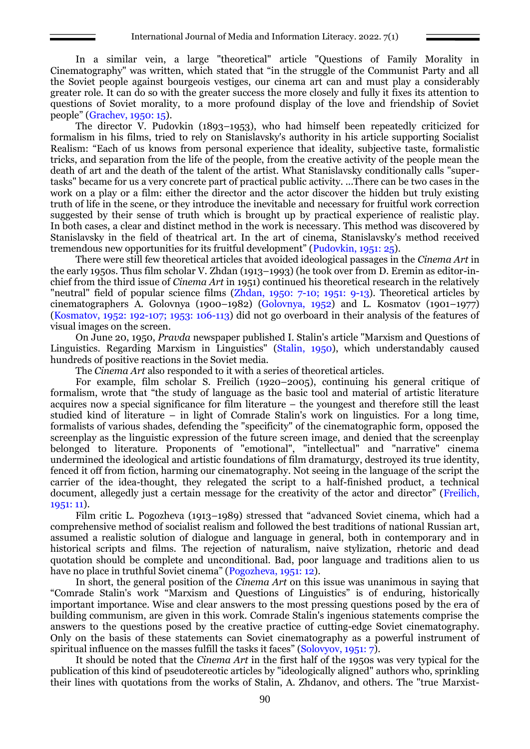In a similar vein, a large "theoretical" article "Questions of Family Morality in Cinematography" was written, which stated that "in the struggle of the Communist Party and all the Soviet people against bourgeois vestiges, our cinema art can and must play a considerably greater role. It can do so with the greater success the more closely and fully it fixes its attention to questions of Soviet morality, to a more profound display of the love and friendship of Soviet people" (Grachev, 1950: 15).

The director V. Pudovkin (1893–1953), who had himself been repeatedly criticized for formalism in his films, tried to rely on Stanislavsky's authority in his article supporting Socialist Realism: "Each of us knows from personal experience that ideality, subjective taste, formalistic tricks, and separation from the life of the people, from the creative activity of the people mean the death of art and the death of the talent of the artist. What Stanislavsky conditionally calls "supertasks" became for us a very concrete part of practical public activity. ...There can be two cases in the work on a play or a film: either the director and the actor discover the hidden but truly existing truth of life in the scene, or they introduce the inevitable and necessary for fruitful work correction suggested by their sense of truth which is brought up by practical experience of realistic play. In both cases, a clear and distinct method in the work is necessary. This method was discovered by Stanislavsky in the field of theatrical art. In the art of cinema, Stanislavsky's method received tremendous new opportunities for its fruitful development" (Pudovkin, 1951: 25).

There were still few theoretical articles that avoided ideological passages in the *Cinema Art* in the early 1950s. Thus film scholar V. Zhdan (1913–1993) (he took over from D. Eremin as editor-inchief from the third issue of *Cinema Art* in 1951) continued his theoretical research in the relatively "neutral" field of popular science films (Zhdan, 1950: 7-10; 1951: 9-13). Theoretical articles by cinematographers A. Golovnya (1900–1982) (Golovnya, 1952) and L. Kosmatov (1901–1977) (Kosmatov, 1952: 192-107; 1953: 106-113) did not go overboard in their analysis of the features of visual images on the screen.

On June 20, 1950, *Pravda* newspaper published I. Stalin's article "Marxism and Questions of Linguistics. Regarding Marxism in Linguistics" (Stalin, 1950), which understandably caused hundreds of positive reactions in the Soviet media.

The *Cinema Art* also responded to it with a series of theoretical articles.

For example, film scholar S. Freilich (1920–2005), continuing his general critique of formalism, wrote that "the study of language as the basic tool and material of artistic literature acquires now a special significance for film literature – the youngest and therefore still the least studied kind of literature – in light of Comrade Stalin's work on linguistics. For a long time, formalists of various shades, defending the "specificity" of the cinematographic form, opposed the screenplay as the linguistic expression of the future screen image, and denied that the screenplay belonged to literature. Proponents of "emotional", "intellectual" and "narrative" cinema undermined the ideological and artistic foundations of film dramaturgy, destroyed its true identity, fenced it off from fiction, harming our cinematography. Not seeing in the language of the script the carrier of the idea-thought, they relegated the script to a half-finished product, a technical document, allegedly just a certain message for the creativity of the actor and director" (Freilich, 1951: 11).

Film critic L. Pogozheva (1913–1989) stressed that "advanced Soviet cinema, which had a comprehensive method of socialist realism and followed the best traditions of national Russian art, assumed a realistic solution of dialogue and language in general, both in contemporary and in historical scripts and films. The rejection of naturalism, naive stylization, rhetoric and dead quotation should be complete and unconditional. Bad, poor language and traditions alien to us have no place in truthful Soviet cinema" (Pogozheva, 1951: 12).

In short, the general position of the *Cinema Art* on this issue was unanimous in saying that "Comrade Stalin's work "Marxism and Questions of Linguistics" is of enduring, historically important importance. Wise and clear answers to the most pressing questions posed by the era of building communism, are given in this work. Comrade Stalin's ingenious statements comprise the answers to the questions posed by the creative practice of cutting-edge Soviet cinematography. Only on the basis of these statements can Soviet cinematography as a powerful instrument of spiritual influence on the masses fulfill the tasks it faces" (Solovyov, 1951: 7).

It should be noted that the *Cinema Art* in the first half of the 1950s was very typical for the publication of this kind of pseudotereotic articles by "ideologically aligned" authors who, sprinkling their lines with quotations from the works of Stalin, A. Zhdanov, and others. The "true Marxist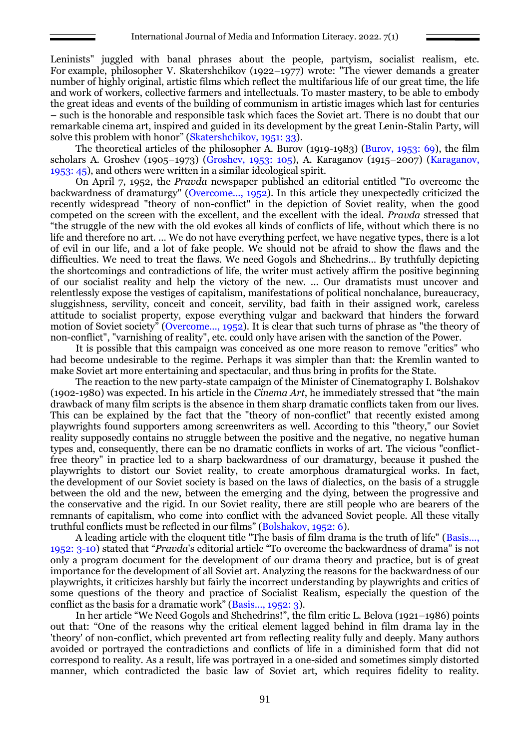Leninists" juggled with banal phrases about the people, partyism, socialist realism, etc. For example, philosopher V. Skatershchikov (1922–1977) wrote: "The viewer demands a greater number of highly original, artistic films which reflect the multifarious life of our great time, the life and work of workers, collective farmers and intellectuals. To master mastery, to be able to embody the great ideas and events of the building of communism in artistic images which last for centuries – such is the honorable and responsible task which faces the Soviet art. There is no doubt that our remarkable cinema art, inspired and guided in its development by the great Lenin-Stalin Party, will solve this problem with honor" (Skatershchikov, 1951: 33).

The theoretical articles of the philosopher A. Burov (1919-1983) (Burov, 1953: 69), the film scholars A. Groshev (1905–1973) (Groshev, 1953: 105), A. Karaganov (1915–2007) (Karaganov, 1953: 45), and others were written in a similar ideological spirit.

On April 7, 1952, the *Pravda* newspaper published an editorial entitled "To overcome the backwardness of dramaturgy" (Overcome..., 1952). In this article they unexpectedly criticized the recently widespread "theory of non-conflict" in the depiction of Soviet reality, when the good competed on the screen with the excellent, and the excellent with the ideal. *Pravda* stressed that "the struggle of the new with the old evokes all kinds of conflicts of life, without which there is no life and therefore no art. ... We do not have everything perfect, we have negative types, there is a lot of evil in our life, and a lot of fake people. We should not be afraid to show the flaws and the difficulties. We need to treat the flaws. We need Gogols and Shchedrins... By truthfully depicting the shortcomings and contradictions of life, the writer must actively affirm the positive beginning of our socialist reality and help the victory of the new. ... Our dramatists must uncover and relentlessly expose the vestiges of capitalism, manifestations of political nonchalance, bureaucracy, sluggishness, servility, conceit and conceit, servility, bad faith in their assigned work, careless attitude to socialist property, expose everything vulgar and backward that hinders the forward motion of Soviet society<sup>"</sup> (Overcome..., 1952). It is clear that such turns of phrase as "the theory of non-conflict", "varnishing of reality", etc. could only have arisen with the sanction of the Power.

It is possible that this campaign was conceived as one more reason to remove "critics" who had become undesirable to the regime. Perhaps it was simpler than that: the Kremlin wanted to make Soviet art more entertaining and spectacular, and thus bring in profits for the State.

The reaction to the new party-state campaign of the Minister of Cinematography I. Bolshakov (1902-1980) was expected. In his article in the *Cinema Art*, he immediately stressed that "the main drawback of many film scripts is the absence in them sharp dramatic conflicts taken from our lives. This can be explained by the fact that the "theory of non-conflict" that recently existed among playwrights found supporters among screenwriters as well. According to this "theory," our Soviet reality supposedly contains no struggle between the positive and the negative, no negative human types and, consequently, there can be no dramatic conflicts in works of art. The vicious "conflictfree theory" in practice led to a sharp backwardness of our dramaturgy, because it pushed the playwrights to distort our Soviet reality, to create amorphous dramaturgical works. In fact, the development of our Soviet society is based on the laws of dialectics, on the basis of a struggle between the old and the new, between the emerging and the dying, between the progressive and the conservative and the rigid. In our Soviet reality, there are still people who are bearers of the remnants of capitalism, who come into conflict with the advanced Soviet people. All these vitally truthful conflicts must be reflected in our films" (Bolshakov, 1952: 6).

A leading article with the eloquent title "The basis of film drama is the truth of life" (Basis..., 1952: 3-10) stated that "*Pravda*'s editorial article "To overcome the backwardness of drama" is not only a program document for the development of our drama theory and practice, but is of great importance for the development of all Soviet art. Analyzing the reasons for the backwardness of our playwrights, it criticizes harshly but fairly the incorrect understanding by playwrights and critics of some questions of the theory and practice of Socialist Realism, especially the question of the conflict as the basis for a dramatic work" (Basis..., 1952: 3).

In her article "We Need Gogols and Shchedrins!", the film critic L. Belova (1921–1986) points out that: "One of the reasons why the critical element lagged behind in film drama lay in the 'theory' of non-conflict, which prevented art from reflecting reality fully and deeply. Many authors avoided or portrayed the contradictions and conflicts of life in a diminished form that did not correspond to reality. As a result, life was portrayed in a one-sided and sometimes simply distorted manner, which contradicted the basic law of Soviet art, which requires fidelity to reality.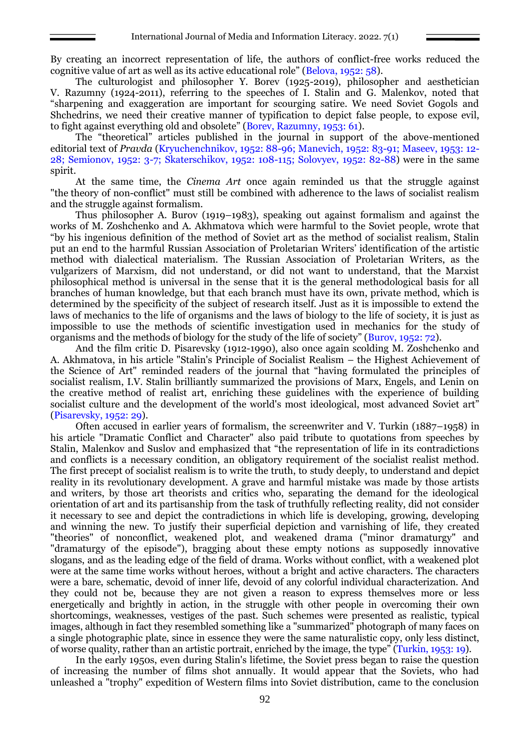By creating an incorrect representation of life, the authors of conflict-free works reduced the cognitive value of art as well as its active educational role" (Belova, 1952: 58).

The culturologist and philosopher Y. Borev (1925-2019), philosopher and aesthetician V. Razumny (1924-2011), referring to the speeches of I. Stalin and G. Malenkov, noted that "sharpening and exaggeration are important for scourging satire. We need Soviet Gogols and Shchedrins, we need their creative manner of typification to depict false people, to expose evil, to fight against everything old and obsolete" (Borev, Razumny, 1953: 61).

The "theoretical" articles published in the journal in support of the above-mentioned editorial text of *Pravda* (Kryuchenchnikov, 1952: 88-96; Manevich, 1952: 83-91; Maseev, 1953: 12- 28; Semionov, 1952: 3-7; Skaterschikov, 1952: 108-115; Solovyev, 1952: 82-88) were in the same spirit.

At the same time, the *Cinema Art* once again reminded us that the struggle against "the theory of non-conflict" must still be combined with adherence to the laws of socialist realism and the struggle against formalism.

Thus philosopher A. Burov (1919–1983), speaking out against formalism and against the works of M. Zoshchenko and A. Akhmatova which were harmful to the Soviet people, wrote that "by his ingenious definition of the method of Soviet art as the method of socialist realism, Stalin put an end to the harmful Russian Association of Proletarian Writers' identification of the artistic method with dialectical materialism. The Russian Association of Proletarian Writers, as the vulgarizers of Marxism, did not understand, or did not want to understand, that the Marxist philosophical method is universal in the sense that it is the general methodological basis for all branches of human knowledge, but that each branch must have its own, private method, which is determined by the specificity of the subject of research itself. Just as it is impossible to extend the laws of mechanics to the life of organisms and the laws of biology to the life of society, it is just as impossible to use the methods of scientific investigation used in mechanics for the study of organisms and the methods of biology for the study of the life of society" (Burov, 1952: 72).

And the film critic D. Pisarevsky (1912-1990), also once again scolding M. Zoshchenko and A. Akhmatova, in his article "Stalin's Principle of Socialist Realism – the Highest Achievement of the Science of Art" reminded readers of the journal that "having formulated the principles of socialist realism, I.V. Stalin brilliantly summarized the provisions of Marx, Engels, and Lenin on the creative method of realist art, enriching these guidelines with the experience of building socialist culture and the development of the world's most ideological, most advanced Soviet art<sup>"</sup> (Pisarevsky, 1952: 29).

Often accused in earlier years of formalism, the screenwriter and V. Turkin (1887–1958) in his article "Dramatic Conflict and Character" also paid tribute to quotations from speeches by Stalin, Malenkov and Suslov and emphasized that "the representation of life in its contradictions and conflicts is a necessary condition, an obligatory requirement of the socialist realist method. The first precept of socialist realism is to write the truth, to study deeply, to understand and depict reality in its revolutionary development. A grave and harmful mistake was made by those artists and writers, by those art theorists and critics who, separating the demand for the ideological orientation of art and its partisanship from the task of truthfully reflecting reality, did not consider it necessary to see and depict the contradictions in which life is developing, growing, developing and winning the new. To justify their superficial depiction and varnishing of life, they created "theories" of nonconflict, weakened plot, and weakened drama ("minor dramaturgy" and "dramaturgy of the episode"), bragging about these empty notions as supposedly innovative slogans, and as the leading edge of the field of drama. Works without conflict, with a weakened plot were at the same time works without heroes, without a bright and active characters. The characters were a bare, schematic, devoid of inner life, devoid of any colorful individual characterization. And they could not be, because they are not given a reason to express themselves more or less energetically and brightly in action, in the struggle with other people in overcoming their own shortcomings, weaknesses, vestiges of the past. Such schemes were presented as realistic, typical images, although in fact they resembled something like a "summarized" photograph of many faces on a single photographic plate, since in essence they were the same naturalistic copy, only less distinct, of worse quality, rather than an artistic portrait, enriched by the image, the type" (Turkin, 1953: 19).

In the early 1950s, even during Stalin's lifetime, the Soviet press began to raise the question of increasing the number of films shot annually. It would appear that the Soviets, who had unleashed a "trophy" expedition of Western films into Soviet distribution, came to the conclusion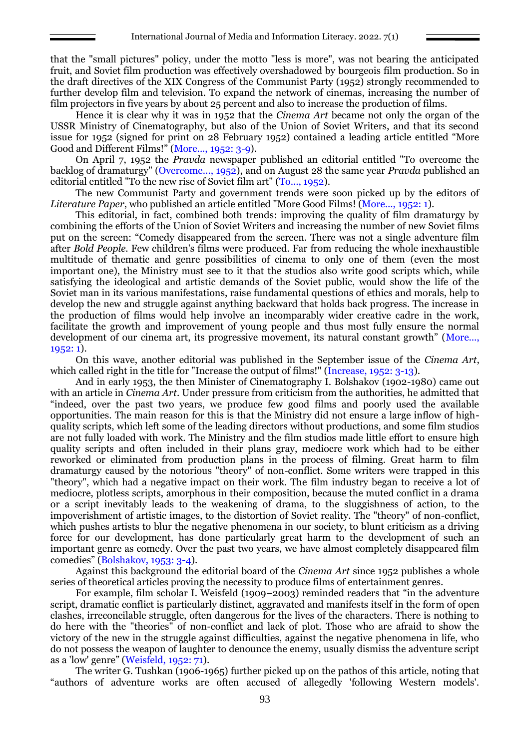that the "small pictures" policy, under the motto "less is more", was not bearing the anticipated fruit, and Soviet film production was effectively overshadowed by bourgeois film production. So in the draft directives of the XIX Congress of the Communist Party (1952) strongly recommended to further develop film and television. To expand the network of cinemas, increasing the number of film projectors in five years by about 25 percent and also to increase the production of films.

Hence it is clear why it was in 1952 that the *Cinema Art* became not only the organ of the USSR Ministry of Cinematography, but also of the Union of Soviet Writers, and that its second issue for 1952 (signed for print on 28 February 1952) contained a leading article entitled "More Good and Different Films!" (More..., 1952: 3-9).

On April 7, 1952 the *Pravda* newspaper published an editorial entitled "To overcome the backlog of dramaturgy" (Overcome..., 1952), and on August 28 the same year *Pravda* published an editorial entitled "To the new rise of Soviet film art" (To..., 1952).

The new Communist Party and government trends were soon picked up by the editors of *Literature Paper*, who published an article entitled "More Good Films! (More..., 1952: 1).

This editorial, in fact, combined both trends: improving the quality of film dramaturgy by combining the efforts of the Union of Soviet Writers and increasing the number of new Soviet films put on the screen: "Comedy disappeared from the screen. There was not a single adventure film after *Bold People*. Few children's films were produced. Far from reducing the whole inexhaustible multitude of thematic and genre possibilities of cinema to only one of them (even the most important one), the Ministry must see to it that the studios also write good scripts which, while satisfying the ideological and artistic demands of the Soviet public, would show the life of the Soviet man in its various manifestations, raise fundamental questions of ethics and morals, help to develop the new and struggle against anything backward that holds back progress. The increase in the production of films would help involve an incomparably wider creative cadre in the work, facilitate the growth and improvement of young people and thus most fully ensure the normal development of our cinema art, its progressive movement, its natural constant growth" (More..., 1952: 1).

On this wave, another editorial was published in the September issue of the *Cinema Art*, which called right in the title for "Increase the output of films!" (Increase, 1952: 3-13).

And in early 1953, the then Minister of Cinematography I. Bolshakov (1902-1980) came out with an article in *Cinema Art*. Under pressure from criticism from the authorities, he admitted that "indeed, over the past two years, we produce few good films and poorly used the available opportunities. The main reason for this is that the Ministry did not ensure a large inflow of highquality scripts, which left some of the leading directors without productions, and some film studios are not fully loaded with work. The Ministry and the film studios made little effort to ensure high quality scripts and often included in their plans gray, mediocre work which had to be either reworked or eliminated from production plans in the process of filming. Great harm to film dramaturgy caused by the notorious "theory" of non-conflict. Some writers were trapped in this "theory", which had a negative impact on their work. The film industry began to receive a lot of mediocre, plotless scripts, amorphous in their composition, because the muted conflict in a drama or a script inevitably leads to the weakening of drama, to the sluggishness of action, to the impoverishment of artistic images, to the distortion of Soviet reality. The "theory" of non-conflict, which pushes artists to blur the negative phenomena in our society, to blunt criticism as a driving force for our development, has done particularly great harm to the development of such an important genre as comedy. Over the past two years, we have almost completely disappeared film comedies" (Bolshakov, 1953: 3-4).

Against this background the editorial board of the *Cinema Art* since 1952 publishes a whole series of theoretical articles proving the necessity to produce films of entertainment genres.

For example, film scholar I. Weisfeld (1909–2003) reminded readers that "in the adventure script, dramatic conflict is particularly distinct, aggravated and manifests itself in the form of open clashes, irreconcilable struggle, often dangerous for the lives of the characters. There is nothing to do here with the "theories" of non-conflict and lack of plot. Those who are afraid to show the victory of the new in the struggle against difficulties, against the negative phenomena in life, who do not possess the weapon of laughter to denounce the enemy, usually dismiss the adventure script as a 'low' genre" (Weisfeld, 1952: 71).

The writer G. Tushkan (1906-1965) further picked up on the pathos of this article, noting that "authors of adventure works are often accused of allegedly 'following Western models'.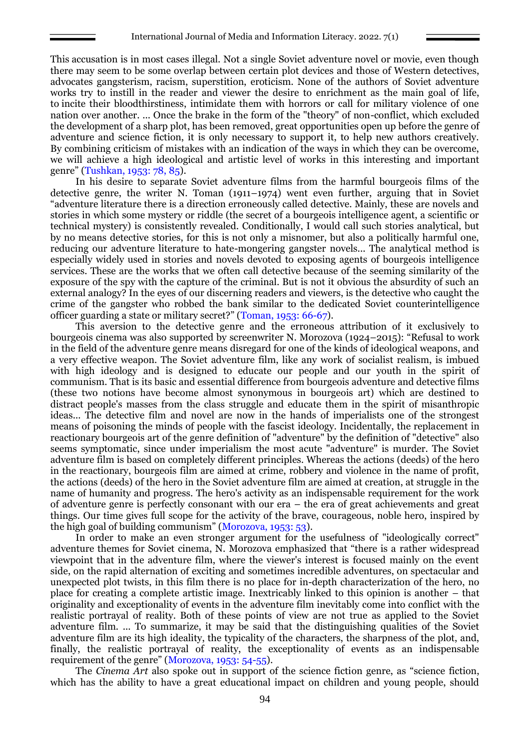This accusation is in most cases illegal. Not a single Soviet adventure novel or movie, even though there may seem to be some overlap between certain plot devices and those of Western detectives, advocates gangsterism, racism, superstition, eroticism. None of the authors of Soviet adventure works try to instill in the reader and viewer the desire to enrichment as the main goal of life, to incite their bloodthirstiness, intimidate them with horrors or call for military violence of one nation over another. ... Once the brake in the form of the "theory" of non-conflict, which excluded the development of a sharp plot, has been removed, great opportunities open up before the genre of adventure and science fiction, it is only necessary to support it, to help new authors creatively. By combining criticism of mistakes with an indication of the ways in which they can be overcome, we will achieve a high ideological and artistic level of works in this interesting and important genre" (Tushkan, 1953: 78, 85).

In his desire to separate Soviet adventure films from the harmful bourgeois films of the detective genre, the writer N. Toman (1911–1974) went even further, arguing that in Soviet "adventure literature there is a direction erroneously called detective. Mainly, these are novels and stories in which some mystery or riddle (the secret of a bourgeois intelligence agent, a scientific or technical mystery) is consistently revealed. Conditionally, I would call such stories analytical, but by no means detective stories, for this is not only a misnomer, but also a politically harmful one, reducing our adventure literature to hate-mongering gangster novels... The analytical method is especially widely used in stories and novels devoted to exposing agents of bourgeois intelligence services. These are the works that we often call detective because of the seeming similarity of the exposure of the spy with the capture of the criminal. But is not it obvious the absurdity of such an external analogy? In the eyes of our discerning readers and viewers, is the detective who caught the crime of the gangster who robbed the bank similar to the dedicated Soviet counterintelligence officer guarding a state or military secret?" (Toman, 1953: 66-67).

This aversion to the detective genre and the erroneous attribution of it exclusively to bourgeois cinema was also supported by screenwriter N. Morozova (1924–2015): "Refusal to work in the field of the adventure genre means disregard for one of the kinds of ideological weapons, and a very effective weapon. The Soviet adventure film, like any work of socialist realism, is imbued with high ideology and is designed to educate our people and our youth in the spirit of communism. That is its basic and essential difference from bourgeois adventure and detective films (these two notions have become almost synonymous in bourgeois art) which are destined to distract people's masses from the class struggle and educate them in the spirit of misanthropic ideas... The detective film and novel are now in the hands of imperialists one of the strongest means of poisoning the minds of people with the fascist ideology. Incidentally, the replacement in reactionary bourgeois art of the genre definition of "adventure" by the definition of "detective" also seems symptomatic, since under imperialism the most acute "adventure" is murder. The Soviet adventure film is based on completely different principles. Whereas the actions (deeds) of the hero in the reactionary, bourgeois film are aimed at crime, robbery and violence in the name of profit, the actions (deeds) of the hero in the Soviet adventure film are aimed at creation, at struggle in the name of humanity and progress. The hero's activity as an indispensable requirement for the work of adventure genre is perfectly consonant with our era – the era of great achievements and great things. Our time gives full scope for the activity of the brave, courageous, noble hero, inspired by the high goal of building communism" (Morozova, 1953: 53).

In order to make an even stronger argument for the usefulness of "ideologically correct" adventure themes for Soviet cinema, N. Morozova emphasized that "there is a rather widespread viewpoint that in the adventure film, where the viewer's interest is focused mainly on the event side, on the rapid alternation of exciting and sometimes incredible adventures, on spectacular and unexpected plot twists, in this film there is no place for in-depth characterization of the hero, no place for creating a complete artistic image. Inextricably linked to this opinion is another – that originality and exceptionality of events in the adventure film inevitably come into conflict with the realistic portrayal of reality. Both of these points of view are not true as applied to the Soviet adventure film. ... To summarize, it may be said that the distinguishing qualities of the Soviet adventure film are its high ideality, the typicality of the characters, the sharpness of the plot, and, finally, the realistic portrayal of reality, the exceptionality of events as an indispensable requirement of the genre" (Morozova, 1953: 54-55).

The *Cinema Art* also spoke out in support of the science fiction genre, as "science fiction, which has the ability to have a great educational impact on children and young people, should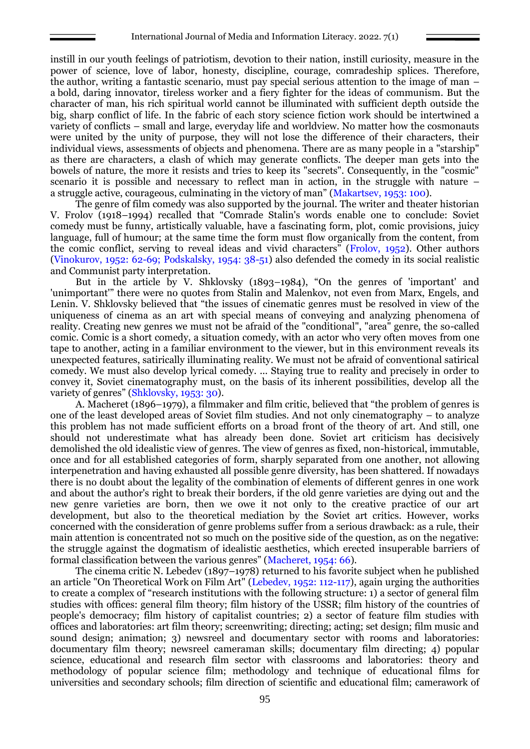instill in our youth feelings of patriotism, devotion to their nation, instill curiosity, measure in the power of science, love of labor, honesty, discipline, courage, comradeship splices. Therefore, the author, writing a fantastic scenario, must pay special serious attention to the image of man – a bold, daring innovator, tireless worker and a fiery fighter for the ideas of communism. But the character of man, his rich spiritual world cannot be illuminated with sufficient depth outside the big, sharp conflict of life. In the fabric of each story science fiction work should be intertwined a variety of conflicts – small and large, everyday life and worldview. No matter how the cosmonauts were united by the unity of purpose, they will not lose the difference of their characters, their individual views, assessments of objects and phenomena. There are as many people in a "starship" as there are characters, a clash of which may generate conflicts. The deeper man gets into the bowels of nature, the more it resists and tries to keep its "secrets". Consequently, in the "cosmic" scenario it is possible and necessary to reflect man in action, in the struggle with nature  $$ a struggle active, courageous, culminating in the victory of man" (Makartsev, 1953: 100).

The genre of film comedy was also supported by the journal. The writer and theater historian V. Frolov (1918–1994) recalled that "Comrade Stalin's words enable one to conclude: Soviet comedy must be funny, artistically valuable, have a fascinating form, plot, comic provisions, juicy language, full of humour; at the same time the form must flow organically from the content, from the comic conflict, serving to reveal ideas and vivid characters" (Frolov, 1952). Other authors (Vinokurov, 1952: 62-69; Podskalsky, 1954: 38-51) also defended the comedy in its social realistic and Communist party interpretation.

But in the article by V. Shklovsky (1893–1984), "On the genres of 'important' and 'unimportant'" there were no quotes from Stalin and Malenkov, not even from Marx, Engels, and Lenin. V. Shklovsky believed that "the issues of cinematic genres must be resolved in view of the uniqueness of cinema as an art with special means of conveying and analyzing phenomena of reality. Creating new genres we must not be afraid of the "conditional", "area" genre, the so-called comic. Comic is a short comedy, a situation comedy, with an actor who very often moves from one tape to another, acting in a familiar environment to the viewer, but in this environment reveals its unexpected features, satirically illuminating reality. We must not be afraid of conventional satirical comedy. We must also develop lyrical comedy. ... Staying true to reality and precisely in order to convey it, Soviet cinematography must, on the basis of its inherent possibilities, develop all the variety of genres" (Shklovsky, 1953: 30).

A. Macheret (1896–1979), a filmmaker and film critic, believed that "the problem of genres is one of the least developed areas of Soviet film studies. And not only cinematography – to analyze this problem has not made sufficient efforts on a broad front of the theory of art. And still, one should not underestimate what has already been done. Soviet art criticism has decisively demolished the old idealistic view of genres. The view of genres as fixed, non-historical, immutable, once and for all established categories of form, sharply separated from one another, not allowing interpenetration and having exhausted all possible genre diversity, has been shattered. If nowadays there is no doubt about the legality of the combination of elements of different genres in one work and about the author's right to break their borders, if the old genre varieties are dying out and the new genre varieties are born, then we owe it not only to the creative practice of our art development, but also to the theoretical mediation by the Soviet art critics. However, works concerned with the consideration of genre problems suffer from a serious drawback: as a rule, their main attention is concentrated not so much on the positive side of the question, as on the negative: the struggle against the dogmatism of idealistic aesthetics, which erected insuperable barriers of formal classification between the various genres" (Macheret, 1954: 66).

The cinema critic N. Lebedev (1897–1978) returned to his favorite subject when he published an article "On Theoretical Work on Film Art" (Lebedev, 1952: 112-117), again urging the authorities to create a complex of "research institutions with the following structure: 1) a sector of general film studies with offices: general film theory; film history of the USSR; film history of the countries of people's democracy; film history of capitalist countries; 2) a sector of feature film studies with offices and laboratories: art film theory; screenwriting; directing; acting; set design; film music and sound design; animation; 3) newsreel and documentary sector with rooms and laboratories: documentary film theory; newsreel cameraman skills; documentary film directing; 4) popular science, educational and research film sector with classrooms and laboratories: theory and methodology of popular science film; methodology and technique of educational films for universities and secondary schools; film direction of scientific and educational film; camerawork of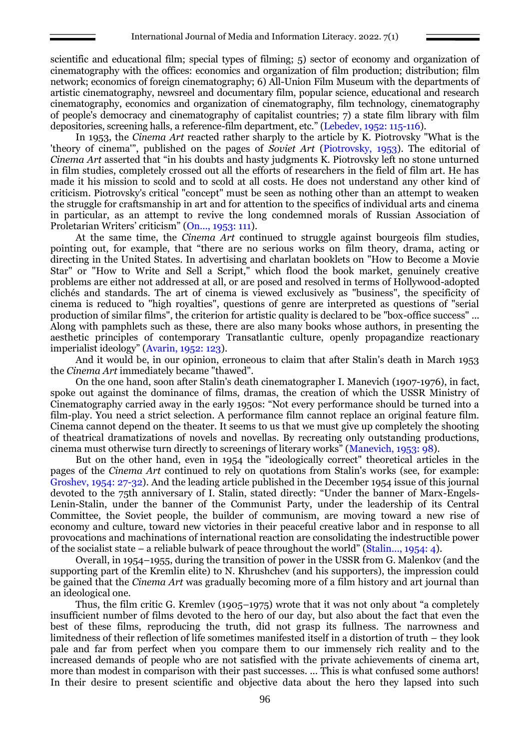scientific and educational film; special types of filming; 5) sector of economy and organization of cinematography with the offices: economics and organization of film production; distribution; film network; economics of foreign cinematography; 6) All-Union Film Museum with the departments of artistic cinematography, newsreel and documentary film, popular science, educational and research cinematography, economics and organization of cinematography, film technology, cinematography of people's democracy and cinematography of capitalist countries; 7) a state film library with film depositories, screening halls, a reference-film department, etc." (Lebedev, 1952: 115-116).

In 1953, the *Cinema Art* reacted rather sharply to the article by K. Piotrovsky "What is the 'theory of cinema'", published on the pages of *Soviet Art* (Piotrovsky, 1953). The editorial of *Cinema Art* asserted that "in his doubts and hasty judgments K. Piotrovsky left no stone unturned in film studies, completely crossed out all the efforts of researchers in the field of film art. He has made it his mission to scold and to scold at all costs. He does not understand any other kind of criticism. Piotrovsky's critical "concept" must be seen as nothing other than an attempt to weaken the struggle for craftsmanship in art and for attention to the specifics of individual arts and cinema in particular, as an attempt to revive the long condemned morals of Russian Association of Proletarian Writers' criticism" (On..., 1953: 111).

At the same time, the *Cinema Art* continued to struggle against bourgeois film studies, pointing out, for example, that "there are no serious works on film theory, drama, acting or directing in the United States. In advertising and charlatan booklets on "How to Become a Movie Star" or "How to Write and Sell a Script," which flood the book market, genuinely creative problems are either not addressed at all, or are posed and resolved in terms of Hollywood-adopted clichés and standards. The art of cinema is viewed exclusively as "business", the specificity of cinema is reduced to "high royalties", questions of genre are interpreted as questions of "serial production of similar films", the criterion for artistic quality is declared to be "box-office success" ... Along with pamphlets such as these, there are also many books whose authors, in presenting the aesthetic principles of contemporary Transatlantic culture, openly propagandize reactionary imperialist ideology" (Avarin, 1952: 123).

And it would be, in our opinion, erroneous to claim that after Stalin's death in March 1953 the *Cinema Art* immediately became "thawed".

On the one hand, soon after Stalin's death cinematographer I. Manevich (1907-1976), in fact, spoke out against the dominance of films, dramas, the creation of which the USSR Ministry of Cinematography carried away in the early 1950s: "Not every performance should be turned into a film-play. You need a strict selection. A performance film cannot replace an original feature film. Cinema cannot depend on the theater. It seems to us that we must give up completely the shooting of theatrical dramatizations of novels and novellas. By recreating only outstanding productions, cinema must otherwise turn directly to screenings of literary works" (Manevich, 1953: 98).

But on the other hand, even in 1954 the "ideologically correct" theoretical articles in the pages of the *Cinema Art* continued to rely on quotations from Stalin's works (see, for example: Groshev, 1954: 27-32). And the leading article published in the December 1954 issue of this journal devoted to the 75th anniversary of I. Stalin, stated directly: "Under the banner of Marx-Engels-Lenin-Stalin, under the banner of the Communist Party, under the leadership of its Central Committee, the Soviet people, the builder of communism, are moving toward a new rise of economy and culture, toward new victories in their peaceful creative labor and in response to all provocations and machinations of international reaction are consolidating the indestructible power of the socialist state – a reliable bulwark of peace throughout the world" (Stalin..., 1954: 4).

Overall, in 1954–1955, during the transition of power in the USSR from G. Malenkov (and the supporting part of the Kremlin elite) to N. Khrushchev (and his supporters), the impression could be gained that the *Cinema Art* was gradually becoming more of a film history and art journal than an ideological one.

Thus, the film critic G. Kremlev (1905–1975) wrote that it was not only about "a completely insufficient number of films devoted to the hero of our day, but also about the fact that even the best of these films, reproducing the truth, did not grasp its fullness. The narrowness and limitedness of their reflection of life sometimes manifested itself in a distortion of truth – they look pale and far from perfect when you compare them to our immensely rich reality and to the increased demands of people who are not satisfied with the private achievements of cinema art, more than modest in comparison with their past successes. ... This is what confused some authors! In their desire to present scientific and objective data about the hero they lapsed into such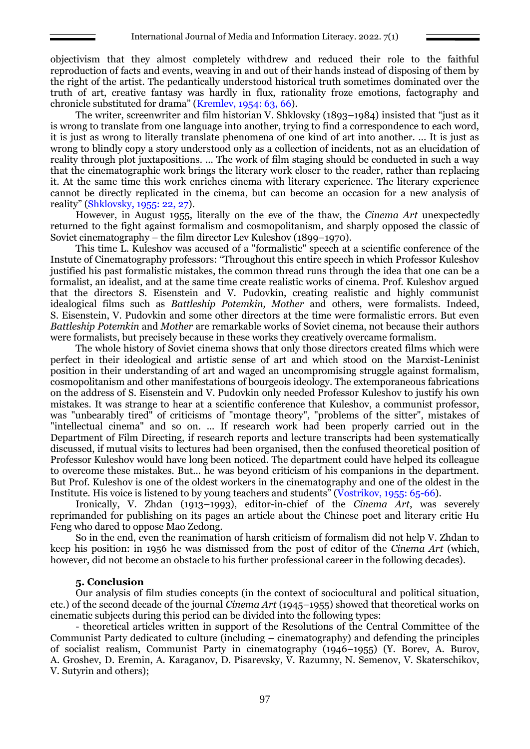objectivism that they almost completely withdrew and reduced their role to the faithful reproduction of facts and events, weaving in and out of their hands instead of disposing of them by the right of the artist. The pedantically understood historical truth sometimes dominated over the truth of art, creative fantasy was hardly in flux, rationality froze emotions, factography and chronicle substituted for drama" (Kremlev, 1954: 63, 66).

The writer, screenwriter and film historian V. Shklovsky (1893–1984) insisted that "just as it is wrong to translate from one language into another, trying to find a correspondence to each word, it is just as wrong to literally translate phenomena of one kind of art into another. ... It is just as wrong to blindly copy a story understood only as a collection of incidents, not as an elucidation of reality through plot juxtapositions. ... The work of film staging should be conducted in such a way that the cinematographic work brings the literary work closer to the reader, rather than replacing it. At the same time this work enriches cinema with literary experience. The literary experience cannot be directly replicated in the cinema, but can become an occasion for a new analysis of reality" (Shklovsky, 1955: 22, 27).

However, in August 1955, literally on the eve of the thaw, the *Cinema Art* unexpectedly returned to the fight against formalism and cosmopolitanism, and sharply opposed the classic of Soviet cinematography – the film director Lev Kuleshov (1899–1970).

This time L. Kuleshov was accused of a "formalistic" speech at a scientific conference of the Instute of Cinematography professors: "Throughout this entire speech in which Professor Kuleshov justified his past formalistic mistakes, the common thread runs through the idea that one can be a formalist, an idealist, and at the same time create realistic works of cinema. Prof. Kuleshov argued that the directors S. Eisenstein and V. Pudovkin, creating realistic and highly communist idealogical films such as *Battleship Potemkin, Mother* and others, were formalists. Indeed, S. Eisenstein, V. Pudovkin and some other directors at the time were formalistic errors. But even *Battleship Potemkin* and *Mother* are remarkable works of Soviet cinema, not because their authors were formalists, but precisely because in these works they creatively overcame formalism.

The whole history of Soviet cinema shows that only those directors created films which were perfect in their ideological and artistic sense of art and which stood on the Marxist-Leninist position in their understanding of art and waged an uncompromising struggle against formalism, cosmopolitanism and other manifestations of bourgeois ideology. The extemporaneous fabrications on the address of S. Eisenstein and V. Pudovkin only needed Professor Kuleshov to justify his own mistakes. It was strange to hear at a scientific conference that Kuleshov, a communist professor, was "unbearably tired" of criticisms of "montage theory", "problems of the sitter", mistakes of "intellectual cinema" and so on. ... If research work had been properly carried out in the Department of Film Directing, if research reports and lecture transcripts had been systematically discussed, if mutual visits to lectures had been organised, then the confused theoretical position of Professor Kuleshov would have long been noticed. The department could have helped its colleague to overcome these mistakes. But... he was beyond criticism of his companions in the department. But Prof. Kuleshov is one of the oldest workers in the cinematography and one of the oldest in the Institute. His voice is listened to by young teachers and students" (Vostrikov, 1955: 65-66).

Ironically, V. Zhdan (1913–1993), editor-in-chief of the *Cinema Art*, was severely reprimanded for publishing on its pages an article about the Chinese poet and literary critic Hu Feng who dared to oppose Mao Zedong.

So in the end, even the reanimation of harsh criticism of formalism did not help V. Zhdan to keep his position: in 1956 he was dismissed from the post of editor of the *Cinema Art* (which, however, did not become an obstacle to his further professional career in the following decades).

#### **5. Conclusion**

Our analysis of film studies concepts (in the context of sociocultural and political situation, etc.) of the second decade of the journal *Cinema Art* (1945–1955) showed that theoretical works on cinematic subjects during this period can be divided into the following types:

- theoretical articles written in support of the Resolutions of the Central Committee of the Communist Party dedicated to culture (including – cinematography) and defending the principles of socialist realism, Communist Party in cinematography (1946–1955) (Y. Borev, A. Burov, A. Groshev, D. Eremin, A. Karaganov, D. Pisarevsky, V. Razumny, N. Semenov, V. Skaterschikov, V. Sutyrin and others);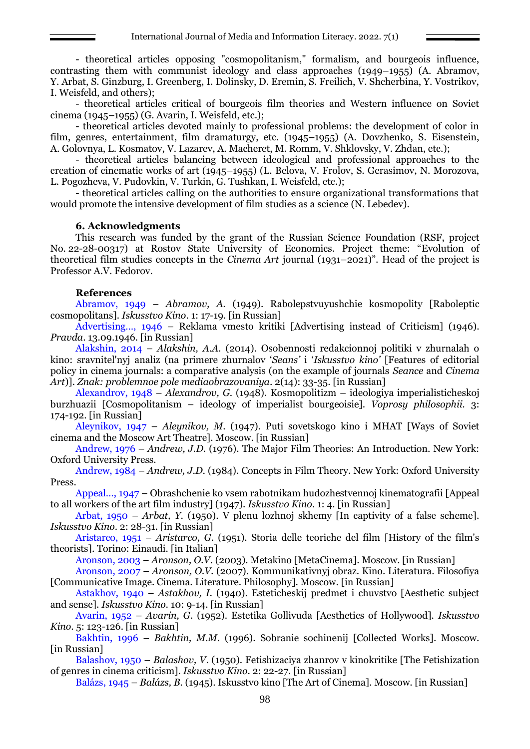- theoretical articles opposing "cosmopolitanism," formalism, and bourgeois influence, contrasting them with communist ideology and class approaches (1949–1955) (A. Abramov, Y. Arbat, S. Ginzburg, I. Greenberg, I. Dolinsky, D. Eremin, S. Freilich, V. Shcherbina, Y. Vostrikov, I. Weisfeld, and others);

- theoretical articles critical of bourgeois film theories and Western influence on Soviet cinema (1945–1955) (G. Avarin, I. Weisfeld, etc.);

- theoretical articles devoted mainly to professional problems: the development of color in film, genres, entertainment, film dramaturgy, etc. (1945–1955) (A. Dovzhenko, S. Eisenstein, A. Golovnya, L. Kosmatov, V. Lazarev, A. Macheret, M. Romm, V. Shklovsky, V. Zhdan, etc.);

- theoretical articles balancing between ideological and professional approaches to the creation of cinematic works of art (1945–1955) (L. Belova, V. Frolov, S. Gerasimov, N. Morozova, L. Pogozheva, V. Pudovkin, V. Turkin, G. Tushkan, I. Weisfeld, etc.);

- theoretical articles calling on the authorities to ensure organizational transformations that would promote the intensive development of film studies as a science (N. Lebedev).

#### **6. Acknowledgments**

This research was funded by the grant of the Russian Science Foundation (RSF, project No. 22-28-00317) at Rostov State University of Economics. Project theme: "Evolution of theoretical film studies concepts in the *Cinema Art* journal (1931–2021)". Head of the project is Professor A.V. Fedorov.

## **References**

Abramov, 1949 – *Abramov, A.* (1949). Rabolepstvuyushchie kosmopolity [Raboleptic cosmopolitans]. *Iskusstvo Kino*. 1: 17-19. [in Russian]

Advertising…, 1946 – Reklama vmesto kritiki [Advertising instead of Criticism] (1946). *Pravda*. 13.09.1946. [in Russian]

Alakshin, 2014 – *Alakshin, A.A.* (2014). Osobennosti redakcionnoj politiki v zhurnalah o kino: sravnitel'nyj analiz (na primere zhurnalov '*Seans'* i '*Iskusstvo kino'* [Features of editorial policy in cinema journals: a comparative analysis (on the example of journals *Seance* and *Cinema Art*)]. *Znak: problemnoe pole mediaobrazovaniya*. 2(14): 33-35. [in Russian]

Alexandrov, 1948 – *Alexandrov, G*. (1948). Kosmopolitizm – ideologiya imperialisticheskoj burzhuazii [Cosmopolitanism – ideology of imperialist bourgeoisie]. *Voprosy philosophii.* 3: 174-192. [in Russian]

Aleynikov, 1947 – *Aleynikov, M*. (1947). Puti sovetskogo kino i MHAT [Ways of Soviet cinema and the Moscow Art Theatre]. Moscow. [in Russian]

Andrew, 1976 – *Andrew, J.D.* (1976). The Major Film Theories: An Introduction. New York: Oxford University Press.

Andrew, 1984 – *Andrew, J.D.* (1984). Concepts in Film Theory. New York: Oxford University Press.

Appeal…, 1947 – Obrashchenie ko vsem rabotnikam hudozhestvennoj kinematografii [Appeal to all workers of the art film industry] (1947). *Iskusstvo Kino*. 1: 4. [in Russian]

Arbat, 1950 – *Arbat, Y.* (1950). V plenu lozhnoj skhemy [In captivity of a false scheme]. *Iskusstvo Kino*. 2: 28-31. [in Russian]

Aristarco, 1951 – *Aristarco, G*. (1951). Storia delle teoriche del film [History of the film's theorists]. Torino: Einaudi. [in Italian]

Aronson, 2003 – *Aronson, O.V*. (2003). Metakino [MetaCinema]. Moscow. [in Russian]

Aronson, 2007 – *Aronson, O.V.* (2007). Kommunikativnyj obraz. Kino. Literatura. Filosofiya [Communicative Image. Cinema. Literature. Philosophy]. Moscow. [in Russian]

Astakhov, 1940 – *Astakhov, I.* (1940). Esteticheskij predmet i chuvstvo [Aesthetic subject and sense]. *Iskusstvo Kino.* 10: 9-14. [in Russian]

Avarin, 1952 – *Avarin, G*. (1952). Estetika Gollivuda [Aesthetics of Hollywood]. *Iskusstvo Kino*. 5: 123-126. [in Russian]

Bakhtin, 1996 – *Bakhtin, M.M.* (1996). Sobranie sochinenij [Collected Works]. Moscow. [in Russian]

Balashov, 1950 – *Balashov, V*. (1950). Fetishizaciya zhanrov v kinokritike [The Fetishization of genres in cinema criticism]. *Iskusstvo Kino*. 2: 22-27. [in Russian]

Balázs, 1945 – *Balázs, B.* (1945). Iskusstvo kino [The Art of Cinema]. Moscow. [in Russian]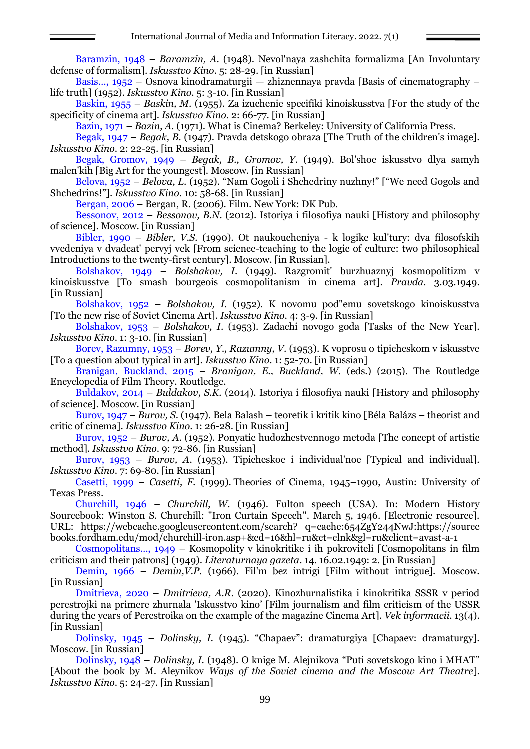Baramzin, 1948 – *Baramzin, A*. (1948). Nevol'naya zashchita formalizma [An Involuntary defense of formalism]. *Iskusstvo Kino*. 5: 28-29. [in Russian]

Basis…, 1952 – Osnova kinodramaturgii — zhiznennaya pravda [Basis of cinematography – life truth] (1952). *Iskusstvo Kino*. 5: 3-10. [in Russian]

Baskin, 1955 – *Baskin, M*. (1955). Za izuchenie specifiki kinoiskusstva [For the study of the specificity of cinema art]. *Iskusstvo Kino*. 2: 66-77. [in Russian]

Bazin, 1971 – *Bazin, A.* (1971). What is Cinema? Berkeley: University of California Press.

Begak, 1947 – *Begak, B.* (1947). Pravda detskogo obraza [The Truth of the children's image]. *Iskusstvo Kino*. 2: 22-25. [in Russian]

Begak, Gromov, 1949 – *Begak, B., Gromov, Y*. (1949). Bol'shoe iskusstvo dlya samyh malen'kih [Big Art for the youngest]. Moscow. [in Russian]

Belova, 1952 – *Belova, L*. (1952). "Nam Gogoli i Shchedriny nuzhny!" ["We need Gogols and Shchedrins!"]. *Iskusstvo Kino*. 10: 58-68. [in Russian]

Bergan, 2006 – Bergan, R. (2006). Film. New York: DK Pub.

Bessonov, 2012 – *Bessonov, B.N.* (2012). Istoriya i filosofiya nauki [History and philosophy of science]. Moscow. [in Russian]

Bibler, 1990 – *Bibler, V.S.* (1990). Ot naukoucheniya - k logike kul'tury: dva filosofskih vvedeniya v dvadcat' pervyj vek [From science-teaching to the logic of culture: two philosophical Introductions to the twenty-first century]. Moscow. [in Russian].

Bolshakov, 1949 – *Bolshakov, I*. (1949). Razgromit' burzhuaznyj kosmopolitizm v kinoiskusstve [To smash bourgeois cosmopolitanism in cinema art]. *Pravda.* 3.03.1949. [in Russian]

Bolshakov, 1952 – *Bolshakov, I.* (1952). K novomu pod"emu sovetskogo kinoiskusstva [To the new rise of Soviet Cinema Art]. *Iskusstvo Kino*. 4: 3-9. [in Russian]

Bolshakov, 1953 – *Bolshakov, I*. (1953). Zadachi novogo goda [Tasks of the New Year]. *Iskusstvo Kino*. 1: 3-10. [in Russian]

Borev, Razumny, 1953 – *Borev, Y., Razumny, V*. (1953). K voprosu o tipicheskom v iskusstve [To a question about typical in art]. *Iskusstvo Kino*. 1: 52-70. [in Russian]

Branigan, Buckland, 2015 – *Branigan, E., Buckland, W.* (eds.) (2015). The Routledge Encyclopedia of Film Theory. Routledge.

Buldakov, 2014 – *Buldakov, S.K.* (2014). Istoriya i filosofiya nauki [History and philosophy of science]. Moscow. [in Russian]

Burov, 1947 – *Burov, S*. (1947). Bela Balash – teoretik i kritik kino [Béla Balázs – theorist and critic of cinema]. *Iskusstvo Kino*. 1: 26-28. [in Russian]

Burov, 1952 – *Burov, A*. (1952). Ponyatie hudozhestvennogo metoda [The concept of artistic method]. *Iskusstvo Kino*. 9: 72-86. [in Russian]

Burov, 1953 – *Burov, A*. (1953). Tipicheskoe i individual'noe [Typical and individual]. *Iskusstvo Kino*. 7: 69-80. [in Russian]

Casetti, 1999 – *Casetti, F.* (1999). Theories of Cinema, 1945–1990, Austin: University of Texas Press.

Churchill, 1946 – *Churchill, W*. (1946). Fulton speech (USA). In: Modern History Sourcebook: Winston S. Churchill: "Iron Curtain Speech". March 5, 1946. [Electronic resource]. URL: https://webcache.googleusercontent.com/search? q=cache:654ZgY244NwJ:https://source books.fordham.edu/mod/churchill-iron.asp+&cd=16&hl=ru&ct=clnk&gl=ru&client=avast-a-1

Cosmopolitans…, 1949 – Kosmopolity v kinokritike i ih pokroviteli [Cosmopolitans in film criticism and their patrons] (1949). *Literaturnaya gazeta*. 14. 16.02.1949: 2. [in Russian]

Demin, 1966 – *Demin,V.P.* (1966). Fil'm bez intrigi [Film without intrigue]. Мoscow. [in Russian]

Dmitrieva, 2020 – *Dmitrieva, A.R.* (2020). Kinozhurnalistika i kinokritika SSSR v period perestrojki na primere zhurnala 'Iskusstvo kino' [Film journalism and film criticism of the USSR during the years of Perestroika on the example of the magazine Cinema Art]. *Vek informacii*. 13(4). [in Russian]

Dolinsky, 1945 – *Dolinsky, I.* (1945). "Chapaev": dramaturgiya [Chapaev: dramaturgy]. Moscow. [in Russian]

Dolinsky, 1948 – *Dolinsky, I*. (1948). O knige M. Alejnikova "Puti sovetskogo kino i MHAT" [About the book by M. Aleynikov *Ways of the Soviet cinema and the Moscow Art Theatre*]. *Iskusstvo Kino*. 5: 24-27. [in Russian]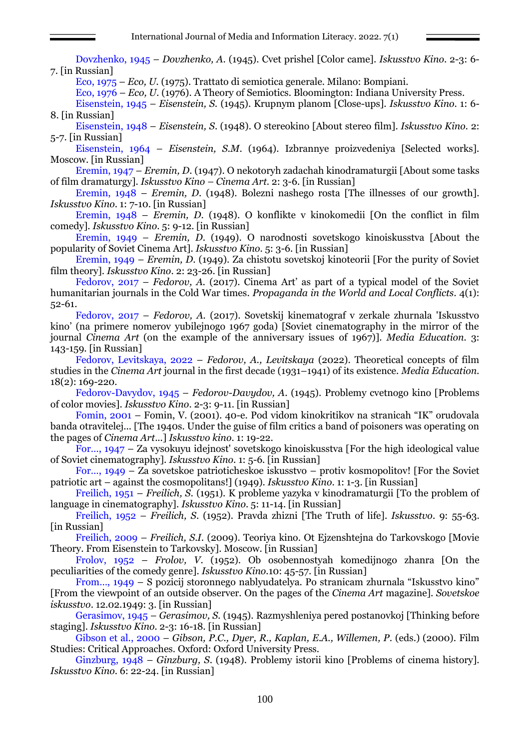Dovzhenko, 1945 – *Dovzhenko, A*. (1945). Cvet prishel [Color came]. *Iskusstvo Kino*. 2-3: 6- 7. [in Russian]

Eco, 1975 – *Eco, U.* (1975). Trattato di semiotica generale. Milano: Bompiani.

Eco, 1976 – *Eco, U.* (1976). A Theory of Semiotics. Bloomington: Indiana University Press.

Eisenstein, 1945 – *Eisenstein, S.* (1945). Krupnym planom [Close-ups]. *Iskusstvo Kino*. 1: 6- 8. [in Russian]

Eisenstein, 1948 – *Eisenstein, S*. (1948). O stereokino [About stereo film]. *Iskusstvo Kino.* 2: 5-7. [in Russian]

Eisenstein, 1964 – *Eisenstein, S.M*. (1964). Izbrannye proizvedeniya [Selected works]. Moscow. [in Russian]

Eremin, 1947 – *Eremin, D*. (1947). O nekotoryh zadachah kinodramaturgii [About some tasks of film dramaturgy]. *Iskusstvo Kino – Cinema Art*. 2: 3-6. [in Russian]

Eremin, 1948 – *Eremin, D*. (1948). Bolezni nashego rosta [The illnesses of our growth]. *Iskusstvo Kino*. 1: 7-10. [in Russian]

Eremin, 1948 – *Eremin, D*. (1948). O konflikte v kinokomedii [On the conflict in film comedy]. *Iskusstvo Kino*. 5: 9-12. [in Russian]

Eremin, 1949 – *Eremin, D*. (1949). O narodnosti sovetskogo kinoiskusstva [About the popularity of Soviet Cinema Art]. *Iskusstvo Kino*. 5: 3-6. [in Russian]

Eremin, 1949 – *Eremin, D*. (1949). Za chistotu sovetskoj kinoteorii [For the purity of Soviet film theory]. *Iskusstvo Kino*. 2: 23-26. [in Russian]

Fedorov, 2017 – *Fedorov, A.* (2017). Cinema Art' as part of a typical model of the Soviet humanitarian journals in the Cold War times. *Propaganda in the World and Local Conflicts.* 4(1): 52-61.

Fedorov, 2017 – *Fedorov, A.* (2017). Sovetskij kinematograf v zerkale zhurnala 'Iskusstvo kino' (na primere nomerov yubilejnogo 1967 goda) [Soviet cinematography in the mirror of the journal *Cinema Art* (on the example of the anniversary issues of 1967)]. *Media Education.* 3: 143-159. [in Russian]

Fedorov, Levitskaya, 2022 – *Fedorov, A., Levitskaya* (2022). Theoretical concepts of film studies in the *Cinema Art* journal in the first decade (1931–1941) of its existence. *Media Education.* 18(2): 169-220.

Fedorov-Davydov, 1945 – *Fedorov-Davydov, A*. (1945). Problemy cvetnogo kino [Problems of color movies]. *Iskusstvo Kino*. 2-3: 9-11. [in Russian]

Fomin, 2001 – Fomin, V. (2001). 40-e. Pod vidom kinokritikov na stranicah "IK" orudovala banda otravitelej... [The 1940s. Under the guise of film critics a band of poisoners was operating on the pages of *Cinema Art*...] *Iskusstvo kino*. 1: 19-22.

For…, 1947 – Za vysokuyu idejnost' sovetskogo kinoiskusstva [For the high ideological value of Soviet cinematography]. *Iskusstvo Kino*. 1: 5-6. [in Russian]

For…, 1949 – Za sovetskoe patrioticheskoe iskusstvo – protiv kosmopolitov! [For the Soviet patriotic art – against the cosmopolitans!] (1949). *Iskusstvo Kino*. 1: 1-3. [in Russian]

Freilich, 1951 – *Freilich, S.* (1951). K probleme yazyka v kinodramaturgii [To the problem of language in cinematography]. *Iskusstvo Kino*. 5: 11-14. [in Russian]

Freilich, 1952 – *Freilich, S*. (1952). Pravda zhizni [The Truth of life]. *Iskusstvo*. 9: 55-63. [in Russian]

Freilich, 2009 – *Freilich, S.I.* (2009). Teoriya kino. Ot Ejzenshtejna do Tarkovskogo [Movie Theory. From Eisenstein to Tarkovsky]. Мoscow. [in Russian]

Frolov, 1952 – *Frolov, V*. (1952). Ob osobennostyah komedijnogo zhanra [On the peculiarities of the comedy genre]. *Iskusstvo Kino*.10: 45-57. [in Russian]

From…, 1949 – S pozicij storonnego nablyudatelya. Po stranicam zhurnala "Iskusstvo kino" [From the viewpoint of an outside observer. On the pages of the *Cinema Art* magazine]. *Sovetskoe iskusstvo*. 12.02.1949: 3. [in Russian]

Gerasimov, 1945 – *Gerasimov, S.* (1945). Razmyshleniya pered postanovkoj [Thinking before staging]. *Iskusstvo Kino.* 2-3: 16-18. [in Russian]

Gibson et al., 2000 – *Gibson, P.C., Dyer, R., Kaplan, E.A., Willemen, P*. (eds.) (2000). Film Studies: Critical Approaches. Oxford: Oxford University Press.

Ginzburg, 1948 – *Ginzburg, S*. (1948). Problemy istorii kino [Problems of cinema history]. *Iskusstvo Kino*. 6: 22-24. [in Russian]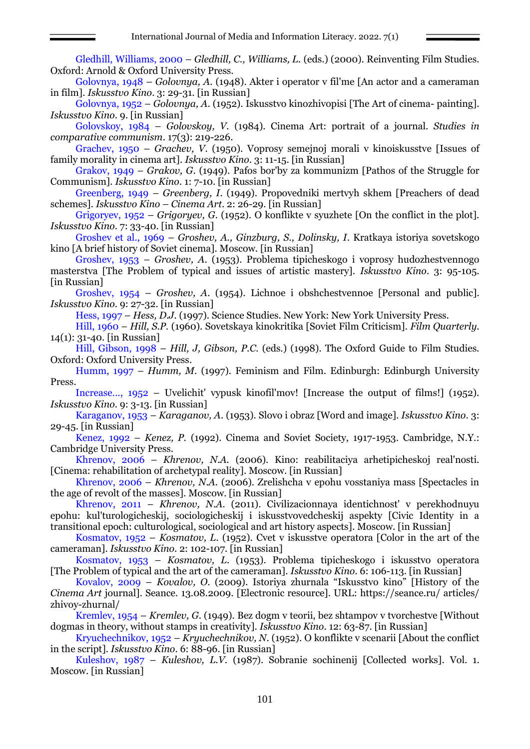Gledhill, Williams, 2000 – *Gledhill, C., Williams, L.* (eds.) (2000). Reinventing Film Studies. Oxford: Arnold & Oxford University Press.

Golovnya, 1948 – *Golovnya, A*. (1948). Akter i operator v fil'me [An actor and a cameraman in film]. *Iskusstvo Kino*. 3: 29-31. [in Russian]

Golovnya, 1952 – *Golovnya, A*. (1952). Iskusstvo kinozhivopisi [The Art of cinema- painting]. *Iskusstvo Kino*. 9. [in Russian]

Golovskoy, 1984 – *Golovskoy, V.* (1984). Cinema Art: portrait of a journal. *Studies in comparative communism*. 17(3): 219-226.

Grachev, 1950 – *Grachev, V*. (1950). Voprosy semejnoj morali v kinoiskusstve [Issues of family morality in cinema art]. *Iskusstvo Kino*. 3: 11-15. [in Russian]

Grakov, 1949 – *Grakov, G*. (1949). Pafos bor'by za kommunizm [Pathos of the Struggle for Communism]. *Iskusstvo Kino.* 1: 7-10. [in Russian]

Greenberg, 1949 – *Greenberg, I*. (1949). Propovedniki mertvyh skhem [Preachers of dead schemes]. *Iskusstvo Kino – Cinema Art*. 2: 26-29. [in Russian]

Grigoryev, 1952 – *Grigoryev, G*. (1952). O konflikte v syuzhete [On the conflict in the plot]. *Iskusstvo Kino*. 7: 33-40. [in Russian]

Groshev et al., 1969 – *Groshev, A., Ginzburg, S., Dolinsky, I*. Kratkaya istoriya sovetskogo kino [A brief history of Soviet cinema]. Moscow. [in Russian]

Groshev, 1953 – *Groshev, A*. (1953). Problema tipicheskogo i voprosy hudozhestvennogo masterstva [The Problem of typical and issues of artistic mastery]. *Iskusstvo Kino*. 3: 95-105. [in Russian]

Groshev, 1954 – *Groshev, A*. (1954). Lichnoe i obshchestvennoe [Personal and public]. *Iskusstvo Kino*. 9: 27-32. [in Russian]

Hess, 1997 – *Hess, D.J.* (1997). Science Studies. New York: New York University Press.

Hill, 1960 – *Hill, S.P.* (1960). Sovetskaya kinokritika [Soviet Film Criticism]. *Film Quarterly.* 14(1): 31-40. [in Russian]

Hill, Gibson, 1998 – *Hill, J, Gibson, P.C.* (eds.) (1998). The Oxford Guide to Film Studies. Oxford: Oxford University Press.

Humm, 1997 – *Humm, M*. (1997). Feminism and Film. Edinburgh: Edinburgh University Press.

Increase…, 1952 – Uvelichit' vypusk kinofil'mov! [Increase the output of films!] (1952). *Iskusstvo Kino*. 9: 3-13. [in Russian]

Karaganov, 1953 – *Karaganov, A*. (1953). Slovo i obraz [Word and image]. *Iskusstvo Kino*. 3: 29-45. [in Russian]

Kenez, 1992 – *Kenez, P.* (1992). Cinema and Soviet Society, 1917-1953. Cambridge, N.Y.: Cambridge University Press.

Khrenov, 2006 – *Khrenov, N.A.* (2006). Kino: reabilitaciya arhetipicheskoj real'nosti. [Cinema: rehabilitation of archetypal reality]. Moscow. [in Russian]

Khrenov, 2006 – *Khrenov, N.A.* (2006). Zrelishcha v epohu vosstaniya mass [Spectacles in the age of revolt of the masses]. Мoscow. [in Russian]

Khrenov, 2011 – *Khrenov, N.A.* (2011). Civilizacionnaya identichnost' v perekhodnuyu epohu: kul'turologicheskij, sociologicheskij i iskusstvovedcheskij aspekty [Civic Identity in a transitional epoch: culturological, sociological and art history aspects]. Мoscow. [in Russian]

Kosmatov, 1952 – *Kosmatov, L*. (1952). Cvet v iskusstve operatora [Color in the art of the cameraman]. *Iskusstvo Kino*. 2: 102-107. [in Russian]

Kosmatov, 1953 – *Kosmatov, L*. (1953). Problema tipicheskogo i iskusstvo operatora [The Problem of typical and the art of the cameraman]. *Iskusstvo Kino*. 6: 106-113. [in Russian]

Kovalov, 2009 – *Kovalov, O.* (2009). Istoriya zhurnala "Iskusstvo kino" [History of the *Cinema Art* journal]. Seance. 13.08.2009. [Electronic resource]. URL: https://seance.ru/ articles/ zhivoy-zhurnal/

Kremlev, 1954 – *Kremlev, G*. (1949). Bez dogm v teorii, bez shtampov v tvorchestve [Without dogmas in theory, without stamps in creativity]. *Iskusstvo Kino*. 12: 63-87. [in Russian]

Kryuchechnikov, 1952 – *Kryuchechnikov, N*. (1952). O konflikte v scenarii [About the conflict in the script]. *Iskusstvo Kino*. 6: 88-96. [in Russian]

Kuleshov, 1987 – *Kuleshov, L.V.* (1987). Sobranie sochinenij [Collected works]. Vol. 1. Moscow. [in Russian]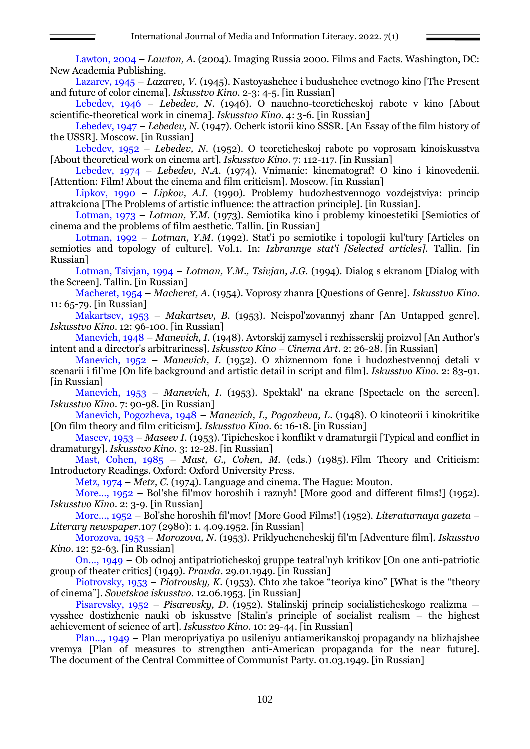Lawton, 2004 – *Lawton, A.* (2004). Imaging Russia 2000. Films and Facts. Washington, DC: New Academia Publishing.

Lazarev, 1945 – *Lazarev, V*. (1945). Nastoyashchee i budushchee cvetnogo kino [The Present and future of color cinema]. *Iskusstvo Kino*. 2-3: 4-5. [in Russian]

Lebedev, 1946 – *Lebedev, N*. (1946). O nauchno-teoreticheskoj rabote v kino [About scientific-theoretical work in cinema]. *Iskusstvo Kino*. 4: 3-6. [in Russian]

Lebedev, 1947 – *Lebedev, N*. (1947). Ocherk istorii kino SSSR. [An Essay of the film history of the USSR]. Moscow. [in Russian]

Lebedev, 1952 – *Lebedev, N*. (1952). O teoreticheskoj rabote po voprosam kinoiskusstva [About theoretical work on cinema art]. *Iskusstvo Kino*. 7: 112-117. [in Russian]

Lebedev, 1974 – *Lebedev, N.A.* (1974). Vnimanie: kinematograf! O kino i kinovedenii. [Attention: Film! About the cinema and film criticism]. Moscow. [in Russian]

Lipkov, 1990 – *Lipkov, A.I.* (1990). Problemy hudozhestvennogo vozdejstviya: princip attrakciona [The Problems of artistic influence: the attraction principle]. [in Russian].

Lotman, 1973 – *Lotman, Y.M.* (1973). Semiotika kino i problemy kinoestetiki [Semiotics of cinema and the problems of film aesthetic. Tallin. [in Russian]

Lotman, 1992 – *Lotman, Y.M.* (1992). Stat'i po semiotike i topologii kul'tury [Articles on semiotics and topology of culture]. Vol.1. In: *Izbrannye stat'i [Selected articles].* Tallin. [in Russian]

Lotman, Tsivjan, 1994 – *Lotman, Y.M., Tsivjan, J.G.* (1994). Dialog s ekranom [Dialog with the Screen]. Tallin. [in Russian]

Macheret, 1954 – *Macheret, A*. (1954). Voprosy zhanra [Questions of Genre]. *Iskusstvo Kino*. 11: 65-79. [in Russian]

Makartsev, 1953 – *Makartsev, B*. (1953). Neispol'zovannyj zhanr [An Untapped genre]. *Iskusstvo Kino*. 12: 96-100. [in Russian]

Manevich, 1948 – *Manevich, I*. (1948). Avtorskij zamysel i rezhisserskij proizvol [An Author's intent and a director's arbitrariness]. *Iskusstvo Kino – Cinema Art*. 2: 26-28. [in Russian]

Manevich, 1952 – *Manevich, I*. (1952). O zhiznennom fone i hudozhestvennoj detali v scenarii i fil'me [On life background and artistic detail in script and film]. *Iskusstvo Kino*. 2: 83-91. [in Russian]

Manevich, 1953 – *Manevich, I*. (1953). Spektakl' na ekrane [Spectacle on the screen]. *Iskusstvo Kino*. 7: 90-98. [in Russian]

Manevich, Pogozheva, 1948 – *Manevich, I., Pogozheva, L*. (1948). O kinoteorii i kinokritike [On film theory and film criticism]. *Iskusstvo Kino*. 6: 16-18. [in Russian]

Maseev, 1953 – *Maseev I*. (1953). Tipicheskoe i konflikt v dramaturgii [Typical and conflict in dramaturgy]. *Iskusstvo Kino*. 3: 12-28. [in Russian]

Mast, Cohen, 1985 – *Mast, G., Cohen, M.* (eds.) (1985). Film Theory and Criticism: Introductory Readings. Oxford: Oxford University Press.

Metz, 1974 – *Metz, C.* (1974). Language and cinema. The Hague: Mouton.

More…, 1952 – Bol'she fil'mov horoshih i raznyh! [More good and different films!] (1952). *Iskusstvo Kino*. 2: 3-9. [in Russian]

More…, 1952 – Bol'she horoshih fil'mov! [More Good Films!] (1952). *Literaturnaya gazeta – Literary newspaper*.107 (2980): 1. 4.09.1952. [in Russian]

Morozova, 1953 – *Morozova, N*. (1953). Priklyuchencheskij fil'm [Adventure film]. *Iskusstvo Kino*. 12: 52-63. [in Russian]

On…, 1949 – Ob odnoj antipatrioticheskoj gruppe teatral'nyh kritikov [On one anti-patriotic group of theater critics] (1949). *Pravda*. 29.01.1949. [in Russian]

Piotrovsky, 1953 – *Piotrovsky, K*. (1953). Chto zhe takoe "teoriya kino" [What is the "theory of cinema"]. *Sovetskoe iskusstvo*. 12.06.1953. [in Russian]

Pisarevsky, 1952 – *Pisarevsky, D*. (1952). Stalinskij princip socialisticheskogo realizma vysshee dostizhenie nauki ob iskusstve [Stalin's principle of socialist realism – the highest achievement of science of art]. *Iskusstvo Kino*. 10: 29-44. [in Russian]

Plan…, 1949 – Plan meropriyatiya po usileniyu antiamerikanskoj propagandy na blizhajshee vremya [Plan of measures to strengthen anti-American propaganda for the near future]. The document of the Central Committee of Communist Party. 01.03.1949. [in Russian]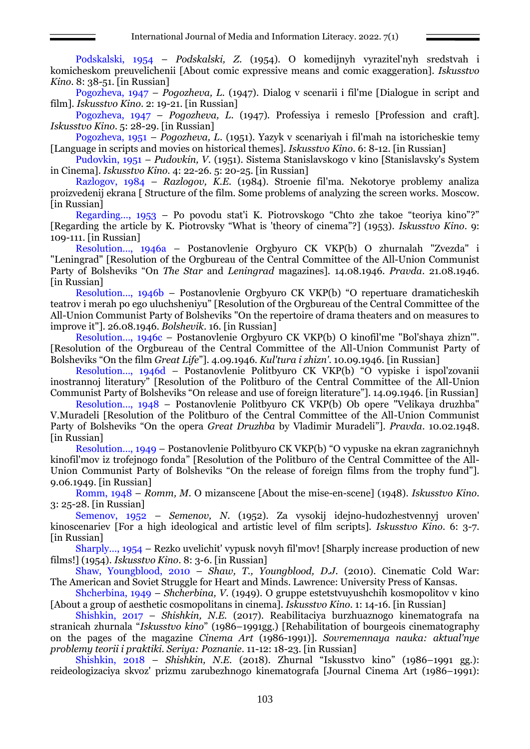Podskalski, 1954 – *Podskalski, Z*. (1954). O komedijnyh vyrazitel'nyh sredstvah i komicheskom preuvelichenii [About comic expressive means and comic exaggeration]. *Iskusstvo Kino*. 8: 38-51. [in Russian]

Pogozheva, 1947 – *Pogozheva, L.* (1947). Dialog v scenarii i fil'me [Dialogue in script and film]. *Iskusstvo Kino*. 2: 19-21. [in Russian]

Pogozheva, 1947 – *Pogozheva, L*. (1947). Professiya i remeslo [Profession and craft]. *Iskusstvo Kino*. 5: 28-29. [in Russian]

Pogozheva, 1951 – *Pogozheva, L*. (1951). Yazyk v scenariyah i fil'mah na istoricheskie temy [Language in scripts and movies on historical themes]. *Iskusstvo Kino*. 6: 8-12. [in Russian]

Pudovkin, 1951 – *Pudovkin, V*. (1951). Sistema Stanislavskogo v kino [Stanislavsky's System in Cinema]. *Iskusstvo Kino*. 4: 22-26. 5: 20-25. [in Russian]

Razlogov, 1984 – *Razlogov, K.E.* (1984). Stroenie fil'ma. Nekotorye problemy analiza proizvedenij ekrana [ Structure of the film. Some problems of analyzing the screen works. Moscow. [in Russian]

Regarding…, 1953 – Po povodu stat'i K. Piotrovskogo "Chto zhe takoe "teoriya kino"?" [Regarding the article by K. Piotrovsky "What is 'theory of cinema"?] (1953). *Iskusstvo Kino*. 9: 109-111. [in Russian]

Resolution…, 1946a – Postanovlenie Orgbyuro CK VKP(b) O zhurnalah "Zvezda" i "Leningrad" [Resolution of the Orgbureau of the Central Committee of the All-Union Communist Party of Bolsheviks "On *The Star* and *Leningrad* magazines]. 14.08.1946. *Pravda*. 21.08.1946. [in Russian]

Resolution…, 1946b – Postanovlenie Orgbyuro CK VKP(b) "O repertuare dramaticheskih teatrov i merah po ego uluchsheniyu" [Resolution of the Orgbureau of the Central Committee of the All-Union Communist Party of Bolsheviks "On the repertoire of drama theaters and on measures to improve it"]. 26.08.1946. *Bolshevik*. 16. [in Russian]

Resolution…, 1946c – Postanovlenie Orgbyuro CK VKP(b) O kinofil'me "Bol'shaya zhizn'". [Resolution of the Orgbureau of the Central Committee of the All-Union Communist Party of Bolsheviks "On the film *Great Life*"]. 4.09.1946. *Kul'tura i zhizn'*. 10.09.1946. [in Russian]

Resolution…, 1946d – Postanovlenie Politbyuro CK VKP(b) "O vypiske i ispol'zovanii inostrannoj literatury" [Resolution of the Politburo of the Central Committee of the All-Union Communist Party of Bolsheviks "On release and use of foreign literature"]. 14.09.1946. [in Russian]

Resolution…, 1948 – Postanovlenie Politbyuro CK VKP(b) Ob opere "Velikaya druzhba" V.Muradeli [Resolution of the Politburo of the Central Committee of the All-Union Communist Party of Bolsheviks "On the opera *Great Druzhba* by Vladimir Muradeli"]. *Pravda*. 10.02.1948. [in Russian]

Resolution…, 1949 – Postanovlenie Politbyuro CK VKP(b) "O vypuske na ekran zagranichnyh kinofil'mov iz trofejnogo fonda" [Resolution of the Politburo of the Central Committee of the All-Union Communist Party of Bolsheviks "On the release of foreign films from the trophy fund"]. 9.06.1949. [in Russian]

Romm, 1948 – *Romm, M*. O mizanscene [About the mise-en-scene] (1948). *Iskusstvo Kino*. 3: 25-28. [in Russian]

Semenov, 1952 – *Semenov, N*. (1952). Za vysokij idejno-hudozhestvennyj uroven' kinoscenariev [For a high ideological and artistic level of film scripts]. *Iskusstvo Kino*. 6: 3-7. [in Russian]

Sharply…, 1954 – Rezko uvelichit' vypusk novyh fil'mov! [Sharply increase production of new films!] (1954). *Iskusstvo Kino*. 8: 3-6. [in Russian]

Shaw, Youngblood, 2010 – *Shaw, T., Youngblood, D.J.* (2010). Cinematic Cold War: The American and Soviet Struggle for Heart and Minds. Lawrence: University Press of Kansas.

Shcherbina, 1949 – *Shcherbina, V*. (1949). O gruppe estetstvuyushchih kosmopolitov v kino [About a group of aesthetic cosmopolitans in cinema]. *Iskusstvo Kino*. 1: 14-16. [in Russian]

Shishkin, 2017 – *Shishkin, N.E.* (2017). Reabilitaciya burzhuaznogo kinematografa na stranicah zhurnala "*Iskusstvo kino*" (1986–1991gg.) [Rehabilitation of bourgeois cinematography on the pages of the magazine *Cinema Art* (1986-1991)]. *Sovremennaya nauka: aktual'nye problemy teorii i praktiki. Seriya: Poznanie*. 11-12: 18-23. [in Russian]

Shishkin, 2018 – *Shishkin, N.E.* (2018). Zhurnal "Iskusstvo kino" (1986–1991 gg.): reideologizaciya skvoz' prizmu zarubezhnogo kinematografa [Journal Cinema Art (1986–1991):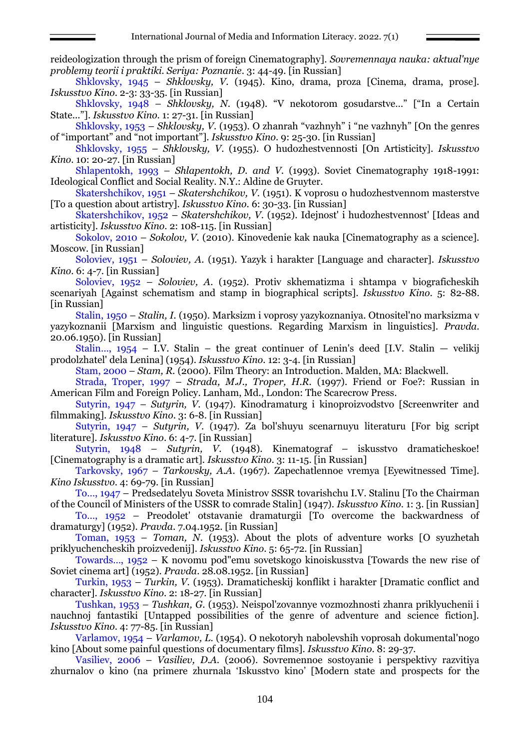reideologization through the prism of foreign Cinematography]. *Sovremennaya nauka: aktual'nye problemy teorii i praktiki. Seriya: Poznanie*. 3: 44-49. [in Russian]

Shklovsky, 1945 – *Shklovsky, V*. (1945). Kino, drama, proza [Cinema, drama, prose]. *Iskusstvo Kino*. 2-3: 33-35. [in Russian]

Shklovsky, 1948 – *Shklovsky, N*. (1948). "V nekotorom gosudarstve…" ["In a Certain State..."]. *Iskusstvo Kino*. 1: 27-31. [in Russian]

Shklovsky, 1953 – *Shklovsky, V*. (1953). O zhanrah "vazhnyh" i "ne vazhnyh" [On the genres of "important" and "not important"]. *Iskusstvo Kino*. 9: 25-30. [in Russian]

Shklovsky, 1955 – *Shklovsky, V*. (1955). O hudozhestvennosti [On Artisticity]. *Iskusstvo Kino*. 10: 20-27. [in Russian]

Shlapentokh, 1993 – *Shlapentokh, D. and V.* (1993). Soviet Cinematography 1918-1991: Ideological Conflict and Social Reality. N.Y.: Aldine de Gruyter.

Skatershchikov, 1951 – *Skatershchikov, V*. (1951). K voprosu o hudozhestvennom masterstve [To a question about artistry]. *Iskusstvo Kino*. 6: 30-33. [in Russian]

Skatershchikov, 1952 – *Skatershchikov, V*. (1952). Idejnost' i hudozhestvennost' [Ideas and artisticity]. *Iskusstvo Kino*. 2: 108-115. [in Russian]

Sokolov, 2010 – *Sokolov, V.* (2010). Kinovedenie kak nauka [Cinematography as a science]. Мoscow. [in Russian]

Soloviev, 1951 – *Soloviev, A*. (1951). Yazyk i harakter [Language and character]. *Iskusstvo Kino*. 6: 4-7. [in Russian]

Soloviev, 1952 – *Soloviev, A*. (1952). Protiv skhematizma i shtampa v biograficheskih scenariyah [Against schematism and stamp in biographical scripts]. *Iskusstvo Kino*. 5: 82-88. [in Russian]

Stalin, 1950 – *Stalin, I.* (1950). Marksizm i voprosy yazykoznaniya. Otnositel'no marksizma v yazykoznanii [Marxism and linguistic questions. Regarding Marxism in linguistics]. *Pravda*. 20.06.1950). [in Russian]

Stalin...,  $1954 - I.V.$  Stalin – the great continuer of Lenin's deed [I.V. Stalin – velikij] prodolzhatel' dela Lenina] (1954). *Iskusstvo Kino*. 12: 3-4. [in Russian]

Stam, 2000 – *Stam, R.* (2000). Film Theory: an Introduction. Malden, MA: Blackwell.

Strada, Troper, 1997 – *Strada, M.J., Troper, H.R.* (1997). Friend or Foe?: Russian in American Film and Foreign Policy. Lanham, Md., London: The Scarecrow Press.

Sutyrin, 1947 – *Sutyrin, V*. (1947). Kinodramaturg i kinoproizvodstvo [Screenwriter and filmmaking]. *Iskusstvo Kino*. 3: 6-8. [in Russian]

Sutyrin, 1947 – *Sutyrin, V*. (1947). Za bol'shuyu scenarnuyu literaturu [For big script literature]. *Iskusstvo Kino*. 6: 4-7. [in Russian]

Sutyrin, 1948 – *Sutyrin, V*. (1948). Kinematograf – iskusstvo dramaticheskoe! [Cinematography is a dramatic art]. *Iskusstvo Kino.* 3: 11-15. [in Russian]

Tarkovsky, 1967 – *Tarkovsky, A.A*. (1967). Zapechatlennoe vremya [Eyewitnessed Time]. *Kino Iskusstvo*. 4: 69-79. [in Russian]

To…, 1947 – Predsedatelyu Soveta Ministrov SSSR tovarishchu I.V. Stalinu [To the Chairman of the Council of Ministers of the USSR to comrade Stalin] (1947). *Iskusstvo Kino*. 1: 3. [in Russian]

To…, 1952 – Preodolet' otstavanie dramaturgii [To overcome the backwardness of dramaturgy] (1952). *Pravda*. 7.04.1952. [in Russian]

Toman, 1953 – *Toman, N*. (1953). About the plots of adventure works [O syuzhetah priklyuchencheskih proizvedenij]. *Iskusstvo Kino*. 5: 65-72. [in Russian]

Towards…, 1952 – K novomu pod"emu sovetskogo kinoiskusstva [Towards the new rise of Soviet cinema art] (1952). *Pravda*. 28.08.1952. [in Russian]

Turkin, 1953 – *Turkin, V*. (1953). Dramaticheskij konflikt i harakter [Dramatic conflict and character]. *Iskusstvo Kino*. 2: 18-27. [in Russian]

Tushkan, 1953 – *Tushkan, G*. (1953). Neispol'zovannye vozmozhnosti zhanra priklyuchenii i nauchnoj fantastiki [Untapped possibilities of the genre of adventure and science fiction]. *Iskusstvo Kino*. 4: 77-85. [in Russian]

Varlamov, 1954 – *Varlamov, L*. (1954). O nekotoryh nabolevshih voprosah dokumental'nogo kino [About some painful questions of documentary films]. *Iskusstvo Kino*. 8: 29-37.

Vasiliev, 2006 – *Vasiliev, D.A.* (2006). Sovremennoe sostoyanie i perspektivy razvitiya zhurnalov o kino (na primere zhurnala 'Iskusstvo kino' [Modern state and prospects for the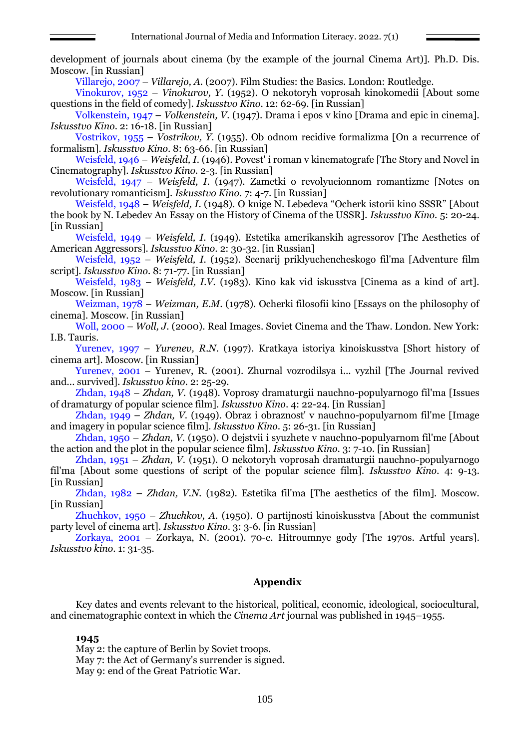development of journals about cinema (by the example of the journal Cinema Art)]. Ph.D. Dis. Moscow. [in Russian]

Villarejo, 2007 – *Villarejo, A.* (2007). Film Studies: the Basics. London: Routledge.

Vinokurov, 1952 – *Vinokurov, Y*. (1952). O nekotoryh voprosah kinokomedii [About some questions in the field of comedy]. *Iskusstvo Kino*. 12: 62-69. [in Russian]

Volkenstein, 1947 – *Volkenstein, V*. (1947). Drama i epos v kino [Drama and epic in cinema]. *Iskusstvo Kino*. 2: 16-18. [in Russian]

Vostrikov, 1955 – *Vostrikov, Y*. (1955). Ob odnom recidive formalizma [On a recurrence of formalism]. *Iskusstvo Kino*. 8: 63-66. [in Russian]

Weisfeld, 1946 – *Weisfeld, I*. (1946). Povest' i roman v kinematografe [The Story and Novel in Cinematography]. *Iskusstvo Kino*. 2-3. [in Russian]

Weisfeld, 1947 – *Weisfeld, I*. (1947). Zametki o revolyucionnom romantizme [Notes on revolutionary romanticism]. *Iskusstvo Kino*. 7: 4-7. [in Russian]

Weisfeld, 1948 – *Weisfeld, I*. (1948). O knige N. Lebedeva "Ocherk istorii kino SSSR" [About the book by N. Lebedev An Essay on the History of Cinema of the USSR]. *Iskusstvo Kino.* 5: 20-24. [in Russian]

Weisfeld, 1949 – *Weisfeld, I*. (1949). Estetika amerikanskih agressorov [The Aesthetics of American Aggressors]. *Iskusstvo Kino*. 2: 30-32. [in Russian]

Weisfeld, 1952 – *Weisfeld, I*. (1952). Scenarij priklyuchencheskogo fil'ma [Adventure film script]. *Iskusstvo Kino*. 8: 71-77. [in Russian]

Weisfeld, 1983 – *Weisfeld, I.V.* (1983). Kino kak vid iskusstva [Cinema as a kind of art]. Мoscow. [in Russian]

Weizman, 1978 – *Weizman, E.M*. (1978). Ocherki filosofii kino [Essays on the philosophy of cinema]. Мoscow. [in Russian]

Woll, 2000 – *Woll, J*. (2000). Real Images. Soviet Cinema and the Thaw. London. New York: I.B. Tauris.

Yurenev, 1997 – *Yurenev, R.N*. (1997). Kratkaya istoriya kinoiskusstva [Short history of cinema art]. Moscow. [in Russian]

Yurenev, 2001 – Yurenev, R. (2001). Zhurnal vozrodilsya i... vyzhil [The Journal revived and... survived]. *Iskusstvo kino*. 2: 25-29.

Zhdan, 1948 – *Zhdan, V*. (1948). Voprosy dramaturgii nauchno-populyarnogo fil'ma [Issues of dramaturgy of popular science film]. *Iskusstvo Kino*. 4: 22-24. [in Russian]

Zhdan, 1949 – *Zhdan, V*. (1949). Obraz i obraznost' v nauchno-populyarnom fil'me [Image and imagery in popular science film]. *Iskusstvo Kino*. 5: 26-31. [in Russian]

Zhdan, 1950 – *Zhdan, V*. (1950). O dejstvii i syuzhete v nauchno-populyarnom fil'me [About the action and the plot in the popular science film]. *Iskusstvo Kino*. 3: 7-10. [in Russian]

Zhdan, 1951 – *Zhdan, V*. (1951). O nekotoryh voprosah dramaturgii nauchno-populyarnogo fil'ma [About some questions of script of the popular science film]. *Iskusstvo Kino*. 4: 9-13. [in Russian]

Zhdan, 1982 – *Zhdan, V.N.* (1982). Estetika fil'ma [The aesthetics of the film]. Мoscow. [in Russian]

Zhuchkov, 1950 – *Zhuchkov, A*. (1950). O partijnosti kinoiskusstva [About the communist party level of cinema art]. *Iskusstvo Kino*. 3: 3-6. [in Russian]

Zorkaya, 2001 – Zorkaya, N. (2001). 70-e. Hitroumnye gody [The 1970s. Artful years]. *Iskusstvo kino*. 1: 31-35.

# **Appendix**

Key dates and events relevant to the historical, political, economic, ideological, sociocultural, and cinematographic context in which the *Cinema Art* journal was published in 1945–1955.

## **1945**

May 2: the capture of Berlin by Soviet troops. May 7: the Act of Germany's surrender is signed. May 9: end of the Great Patriotic War.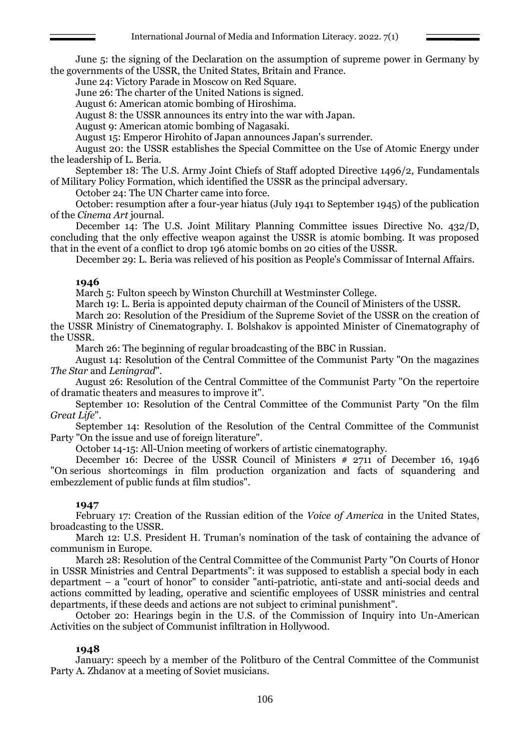June 5: the signing of the Declaration on the assumption of supreme power in Germany by the governments of the USSR, the United States, Britain and France.

June 24: Victory Parade in Moscow on Red Square.

June 26: The charter of the United Nations is signed.

August 6: American atomic bombing of Hiroshima.

August 8: the USSR announces its entry into the war with Japan.

August 9: American atomic bombing of Nagasaki.

August 15: Emperor Hirohito of Japan announces Japan's surrender.

August 20: the USSR establishes the Special Committee on the Use of Atomic Energy under the leadership of L. Beria.

September 18: The U.S. Army Joint Chiefs of Staff adopted Directive 1496/2, Fundamentals of Military Policy Formation, which identified the USSR as the principal adversary.

October 24: The UN Charter came into force.

October: resumption after a four-year hiatus (July 1941 to September 1945) of the publication of the *Cinema Art* journal.

December 14: The U.S. Joint Military Planning Committee issues Directive No. 432/D, concluding that the only effective weapon against the USSR is atomic bombing. It was proposed that in the event of a conflict to drop 196 atomic bombs on 20 cities of the USSR.

December 29: L. Beria was relieved of his position as People's Commissar of Internal Affairs.

#### **1946**

March 5: Fulton speech by Winston Churchill at Westminster College.

March 19: L. Beria is appointed deputy chairman of the Council of Ministers of the USSR.

March 20: Resolution of the Presidium of the Supreme Soviet of the USSR on the creation of the USSR Ministry of Cinematography. I. Bolshakov is appointed Minister of Cinematography of the USSR.

March 26: The beginning of regular broadcasting of the BBC in Russian.

August 14: Resolution of the Central Committee of the Communist Party "On the magazines *The Star* and *Leningrad*".

August 26: Resolution of the Central Committee of the Communist Party "On the repertoire of dramatic theaters and measures to improve it".

September 10: Resolution of the Central Committee of the Communist Party "On the film *Great Life*".

September 14: Resolution of the Resolution of the Central Committee of the Communist Party "On the issue and use of foreign literature".

October 14-15: All-Union meeting of workers of artistic cinematography.

December 16: Decree of the USSR Council of Ministers  $\#$  2711 of December 16, 1946 "On serious shortcomings in film production organization and facts of squandering and embezzlement of public funds at film studios".

## **1947**

February 17: Creation of the Russian edition of the *Voice of America* in the United States, broadcasting to the USSR.

March 12: U.S. President H. Truman's nomination of the task of containing the advance of communism in Europe.

March 28: Resolution of the Central Committee of the Communist Party "On Courts of Honor in USSR Ministries and Central Departments": it was supposed to establish a special body in each department *–* a "court of honor" to consider "anti-patriotic, anti-state and anti-social deeds and actions committed by leading, operative and scientific employees of USSR ministries and central departments, if these deeds and actions are not subject to criminal punishment".

October 20: Hearings begin in the U.S. of the Commission of Inquiry into Un-American Activities on the subject of Communist infiltration in Hollywood.

## **1948**

January: speech by a member of the Politburo of the Central Committee of the Communist Party A. Zhdanov at a meeting of Soviet musicians.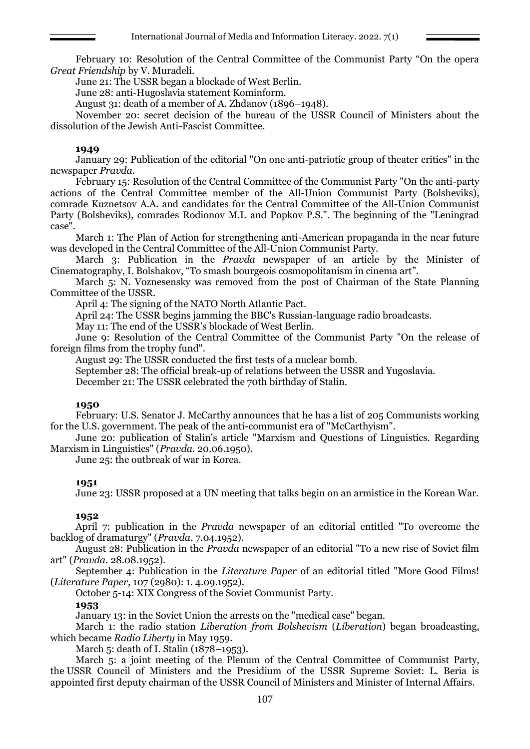February 10: Resolution of the Central Committee of the Communist Party "On the opera *Great Friendship* by V. Muradeli.

June 21: The USSR began a blockade of West Berlin.

June 28: anti-Hugoslavia statement Kominform.

August 31: death of a member of A. Zhdanov (1896–1948).

November 20: secret decision of the bureau of the USSR Council of Ministers about the dissolution of the Jewish Anti-Fascist Committee.

### **1949**

January 29: Publication of the editorial "On one anti-patriotic group of theater critics" in the newspaper *Pravda*.

February 15: Resolution of the Central Committee of the Communist Party "On the anti-party actions of the Central Committee member of the All-Union Communist Party (Bolsheviks), comrade Kuznetsov A.A. and candidates for the Central Committee of the All-Union Communist Party (Bolsheviks), comrades Rodionov M.I. and Popkov P.S.". The beginning of the "Leningrad case".

March 1: The Plan of Action for strengthening anti-American propaganda in the near future was developed in the Central Committee of the All-Union Communist Party.

March 3: Publication in the *Pravda* newspaper of an article by the Minister of Cinematography, I. Bolshakov, "To smash bourgeois cosmopolitanism in cinema art".

March 5: N. Voznesensky was removed from the post of Chairman of the State Planning Committee of the USSR.

April 4: The signing of the NATO North Atlantic Pact.

April 24: The USSR begins jamming the BBC's Russian-language radio broadcasts.

May 11: The end of the USSR's blockade of West Berlin.

June 9: Resolution of the Central Committee of the Communist Party "On the release of foreign films from the trophy fund".

August 29: The USSR conducted the first tests of a nuclear bomb.

September 28: The official break-up of relations between the USSR and Yugoslavia.

December 21: The USSR celebrated the 70th birthday of Stalin.

## **1950**

February: U.S. Senator J. McCarthy announces that he has a list of 205 Communists working for the U.S. government. The peak of the anti-communist era of "McCarthyism".

June 20: publication of Stalin's article "Marxism and Questions of Linguistics. Regarding Marxism in Linguistics" (*Pravda.* 20.06.1950).

June 25: the outbreak of war in Korea.

## **1951**

June 23: USSR proposed at a UN meeting that talks begin on an armistice in the Korean War.

## **1952**

April 7: publication in the *Pravda* newspaper of an editorial entitled "To overcome the backlog of dramaturgy" (*Pravda*. 7.04.1952).

August 28: Publication in the *Pravda* newspaper of an editorial "To a new rise of Soviet film art" (*Pravda.* 28.08.1952).

September 4: Publication in the *Literature Paper* of an editorial titled "More Good Films! (*Literature Paper*, 107 (2980): 1. 4.09.1952).

October 5-14: XIX Congress of the Soviet Communist Party.

#### **1953**

January 13: in the Soviet Union the arrests on the "medical case" began.

March 1: the radio station *Liberation from Bolshevism* (*Liberation*) began broadcasting, which became *Radio Liberty* in May 1959.

March 5: death of I. Stalin (1878–1953).

March 5: a joint meeting of the Plenum of the Central Committee of Communist Party, the USSR Council of Ministers and the Presidium of the USSR Supreme Soviet: L. Beria is appointed first deputy chairman of the USSR Council of Ministers and Minister of Internal Affairs.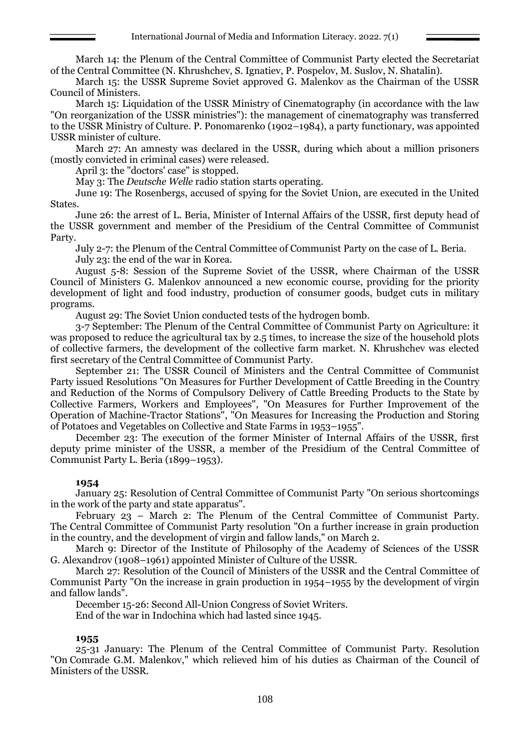March 14: the Plenum of the Central Committee of Communist Party elected the Secretariat of the Central Committee (N. Khrushchev, S. Ignatiev, P. Pospelov, M. Suslov, N. Shatalin).

March 15: the USSR Supreme Soviet approved G. Malenkov as the Chairman of the USSR Council of Ministers.

March 15: Liquidation of the USSR Ministry of Cinematography (in accordance with the law "On reorganization of the USSR ministries"): the management of cinematography was transferred to the USSR Ministry of Culture. P. Ponomarenko (1902–1984), a party functionary, was appointed USSR minister of culture.

March 27: An amnesty was declared in the USSR, during which about a million prisoners (mostly convicted in criminal cases) were released.

April 3: the "doctors' case" is stopped.

May 3: The *Deutsche Welle* radio station starts operating.

June 19: The Rosenbergs, accused of spying for the Soviet Union, are executed in the United States.

June 26: the arrest of L. Beria, Minister of Internal Affairs of the USSR, first deputy head of the USSR government and member of the Presidium of the Central Committee of Communist Party.

July 2-7: the Plenum of the Central Committee of Communist Party on the case of L. Beria. July 23: the end of the war in Korea.

August 5-8: Session of the Supreme Soviet of the USSR, where Chairman of the USSR Council of Ministers G. Malenkov announced a new economic course, providing for the priority development of light and food industry, production of consumer goods, budget cuts in military programs.

August 29: The Soviet Union conducted tests of the hydrogen bomb.

3-7 September: The Plenum of the Central Committee of Communist Party on Agriculture: it was proposed to reduce the agricultural tax by 2.5 times, to increase the size of the household plots of collective farmers, the development of the collective farm market. N. Khrushchev was elected first secretary of the Central Committee of Communist Party.

September 21: The USSR Council of Ministers and the Central Committee of Communist Party issued Resolutions "On Measures for Further Development of Cattle Breeding in the Country and Reduction of the Norms of Compulsory Delivery of Cattle Breeding Products to the State by Collective Farmers, Workers and Employees", "On Measures for Further Improvement of the Operation of Machine-Tractor Stations", "On Measures for Increasing the Production and Storing of Potatoes and Vegetables on Collective and State Farms in 1953–1955".

December 23: The execution of the former Minister of Internal Affairs of the USSR, first deputy prime minister of the USSR, a member of the Presidium of the Central Committee of Communist Party L. Beria (1899–1953).

## **1954**

January 25: Resolution of Central Committee of Communist Party "On serious shortcomings in the work of the party and state apparatus".

February 23 – March 2: The Plenum of the Central Committee of Communist Party. The Central Committee of Communist Party resolution "On a further increase in grain production in the country, and the development of virgin and fallow lands," on March 2.

March 9: Director of the Institute of Philosophy of the Academy of Sciences of the USSR G. Alexandrov (1908–1961) appointed Minister of Culture of the USSR.

March 27: Resolution of the Council of Ministers of the USSR and the Central Committee of Communist Party "On the increase in grain production in 1954–1955 by the development of virgin and fallow lands".

December 15-26: Second All-Union Congress of Soviet Writers.

End of the war in Indochina which had lasted since 1945.

## **1955**

25-31 January: The Plenum of the Central Committee of Communist Party. Resolution "On Comrade G.M. Malenkov," which relieved him of his duties as Chairman of the Council of Ministers of the USSR.